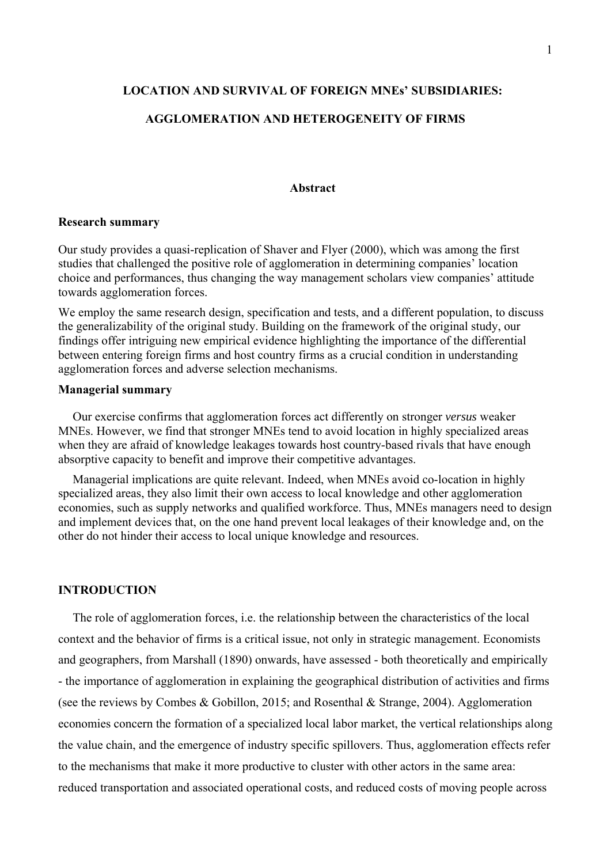#### **LOCATION AND SURVIVAL OF FOREIGN MNEs' SUBSIDIARIES:**

# **AGGLOMERATION AND HETEROGENEITY OF FIRMS**

#### **Abstract**

#### **Research summary**

Our study provides a quasi-replication of Shaver and Flyer (2000), which was among the first studies that challenged the positive role of agglomeration in determining companies' location choice and performances, thus changing the way management scholars view companies' attitude towards agglomeration forces.

We employ the same research design, specification and tests, and a different population, to discuss the generalizability of the original study. Building on the framework of the original study, our findings offer intriguing new empirical evidence highlighting the importance of the differential between entering foreign firms and host country firms as a crucial condition in understanding agglomeration forces and adverse selection mechanisms.

### **Managerial summary**

Our exercise confirms that agglomeration forces act differently on stronger *versus* weaker MNEs. However, we find that stronger MNEs tend to avoid location in highly specialized areas when they are afraid of knowledge leakages towards host country-based rivals that have enough absorptive capacity to benefit and improve their competitive advantages.

Managerial implications are quite relevant. Indeed, when MNEs avoid co-location in highly specialized areas, they also limit their own access to local knowledge and other agglomeration economies, such as supply networks and qualified workforce. Thus, MNEs managers need to design and implement devices that, on the one hand prevent local leakages of their knowledge and, on the other do not hinder their access to local unique knowledge and resources.

### **INTRODUCTION**

The role of agglomeration forces, i.e. the relationship between the characteristics of the local context and the behavior of firms is a critical issue, not only in strategic management. Economists and geographers, from Marshall (1890) onwards, have assessed - both theoretically and empirically - the importance of agglomeration in explaining the geographical distribution of activities and firms (see the reviews by Combes & Gobillon, 2015; and Rosenthal & Strange, 2004). Agglomeration economies concern the formation of a specialized local labor market, the vertical relationships along the value chain, and the emergence of industry specific spillovers. Thus, agglomeration effects refer to the mechanisms that make it more productive to cluster with other actors in the same area: reduced transportation and associated operational costs, and reduced costs of moving people across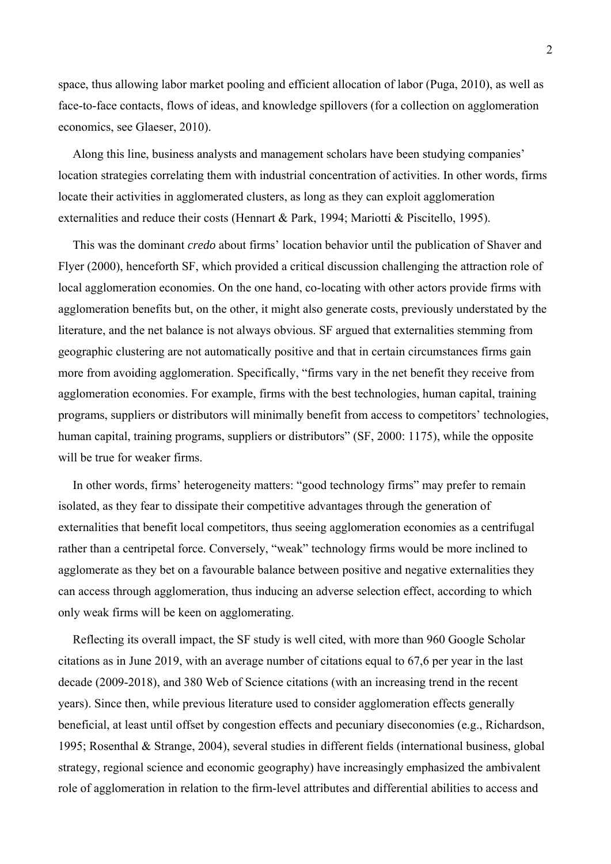space, thus allowing labor market pooling and efficient allocation of labor (Puga, 2010), as well as face-to-face contacts, flows of ideas, and knowledge spillovers (for a collection on agglomeration economics, see Glaeser, 2010).

Along this line, business analysts and management scholars have been studying companies' location strategies correlating them with industrial concentration of activities. In other words, firms locate their activities in agglomerated clusters, as long as they can exploit agglomeration externalities and reduce their costs (Hennart & Park, 1994; Mariotti & Piscitello, 1995).

This was the dominant *credo* about firms' location behavior until the publication of Shaver and Flyer (2000), henceforth SF, which provided a critical discussion challenging the attraction role of local agglomeration economies. On the one hand, co-locating with other actors provide firms with agglomeration benefits but, on the other, it might also generate costs, previously understated by the literature, and the net balance is not always obvious. SF argued that externalities stemming from geographic clustering are not automatically positive and that in certain circumstances firms gain more from avoiding agglomeration. Specifically, "firms vary in the net benefit they receive from agglomeration economies. For example, firms with the best technologies, human capital, training programs, suppliers or distributors will minimally benefit from access to competitors' technologies, human capital, training programs, suppliers or distributors" (SF, 2000: 1175), while the opposite will be true for weaker firms.

In other words, firms' heterogeneity matters: "good technology firms" may prefer to remain isolated, as they fear to dissipate their competitive advantages through the generation of externalities that benefit local competitors, thus seeing agglomeration economies as a centrifugal rather than a centripetal force. Conversely, "weak" technology firms would be more inclined to agglomerate as they bet on a favourable balance between positive and negative externalities they can access through agglomeration, thus inducing an adverse selection effect, according to which only weak firms will be keen on agglomerating.

Reflecting its overall impact, the SF study is well cited, with more than 960 Google Scholar citations as in June 2019, with an average number of citations equal to 67,6 per year in the last decade (2009-2018), and 380 Web of Science citations (with an increasing trend in the recent years). Since then, while previous literature used to consider agglomeration effects generally beneficial, at least until offset by congestion effects and pecuniary diseconomies (e.g., Richardson, 1995; Rosenthal & Strange, 2004), several studies in different fields (international business, global strategy, regional science and economic geography) have increasingly emphasized the ambivalent role of agglomeration in relation to the firm-level attributes and differential abilities to access and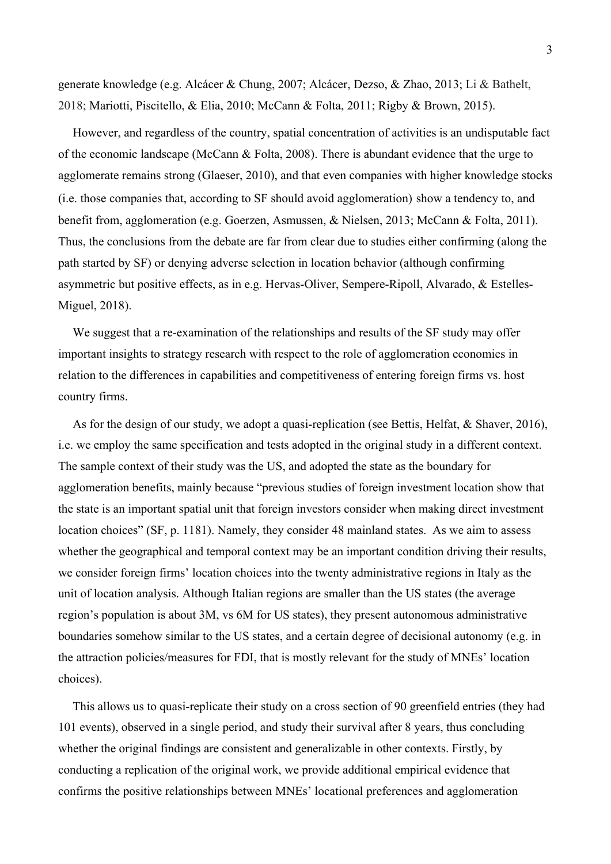generate knowledge (e.g. Alcácer & Chung, 2007; Alcácer, Dezso, & Zhao, 2013; Li & Bathelt, 2018; Mariotti, Piscitello, & Elia, 2010; McCann & Folta, 2011; Rigby & Brown, 2015).

However, and regardless of the country, spatial concentration of activities is an undisputable fact of the economic landscape (McCann & Folta, 2008). There is abundant evidence that the urge to agglomerate remains strong (Glaeser, 2010), and that even companies with higher knowledge stocks (i.e. those companies that, according to SF should avoid agglomeration) show a tendency to, and benefit from, agglomeration (e.g. Goerzen, Asmussen, & Nielsen, 2013; McCann & Folta, 2011). Thus, the conclusions from the debate are far from clear due to studies either confirming (along the path started by SF) or denying adverse selection in location behavior (although confirming asymmetric but positive effects, as in e.g. Hervas-Oliver, Sempere-Ripoll, Alvarado, & Estelles-Miguel, 2018).

We suggest that a re-examination of the relationships and results of the SF study may offer important insights to strategy research with respect to the role of agglomeration economies in relation to the differences in capabilities and competitiveness of entering foreign firms vs. host country firms.

As for the design of our study, we adopt a quasi-replication (see Bettis, Helfat, & Shaver, 2016), i.e. we employ the same specification and tests adopted in the original study in a different context. The sample context of their study was the US, and adopted the state as the boundary for agglomeration benefits, mainly because "previous studies of foreign investment location show that the state is an important spatial unit that foreign investors consider when making direct investment location choices" (SF, p. 1181). Namely, they consider 48 mainland states. As we aim to assess whether the geographical and temporal context may be an important condition driving their results, we consider foreign firms' location choices into the twenty administrative regions in Italy as the unit of location analysis. Although Italian regions are smaller than the US states (the average region's population is about 3M, vs 6M for US states), they present autonomous administrative boundaries somehow similar to the US states, and a certain degree of decisional autonomy (e.g. in the attraction policies/measures for FDI, that is mostly relevant for the study of MNEs' location choices).

This allows us to quasi-replicate their study on a cross section of 90 greenfield entries (they had 101 events), observed in a single period, and study their survival after 8 years, thus concluding whether the original findings are consistent and generalizable in other contexts. Firstly, by conducting a replication of the original work, we provide additional empirical evidence that confirms the positive relationships between MNEs' locational preferences and agglomeration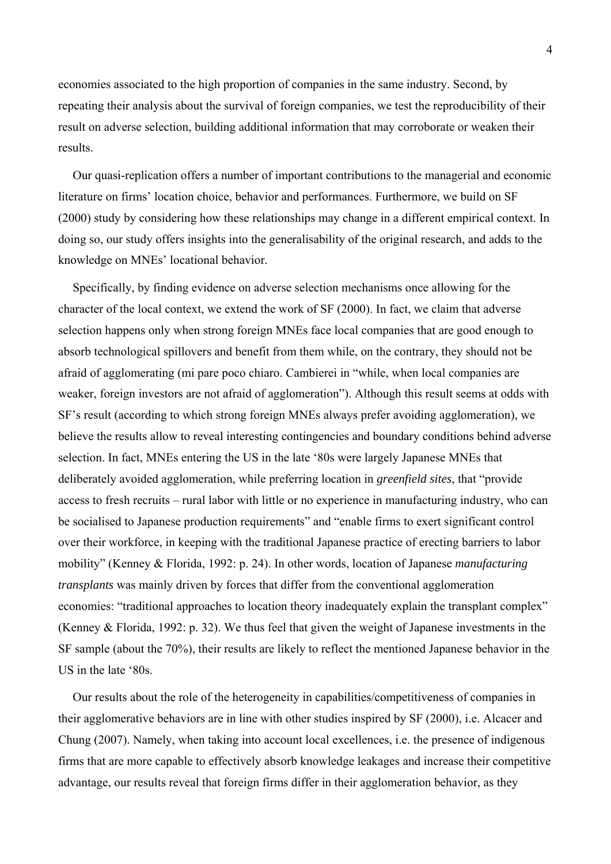economies associated to the high proportion of companies in the same industry. Second, by repeating their analysis about the survival of foreign companies, we test the reproducibility of their result on adverse selection, building additional information that may corroborate or weaken their results.

Our quasi-replication offers a number of important contributions to the managerial and economic literature on firms' location choice, behavior and performances. Furthermore, we build on SF (2000) study by considering how these relationships may change in a different empirical context. In doing so, our study offers insights into the generalisability of the original research, and adds to the knowledge on MNEs' locational behavior.

Specifically, by finding evidence on adverse selection mechanisms once allowing for the character of the local context, we extend the work of SF (2000). In fact, we claim that adverse selection happens only when strong foreign MNEs face local companies that are good enough to absorb technological spillovers and benefit from them while, on the contrary, they should not be afraid of agglomerating (mi pare poco chiaro. Cambierei in "while, when local companies are weaker, foreign investors are not afraid of agglomeration"). Although this result seems at odds with SF's result (according to which strong foreign MNEs always prefer avoiding agglomeration), we believe the results allow to reveal interesting contingencies and boundary conditions behind adverse selection. In fact, MNEs entering the US in the late '80s were largely Japanese MNEs that deliberately avoided agglomeration, while preferring location in *greenfield sites*, that "provide access to fresh recruits – rural labor with little or no experience in manufacturing industry, who can be socialised to Japanese production requirements" and "enable firms to exert significant control over their workforce, in keeping with the traditional Japanese practice of erecting barriers to labor mobility" (Kenney & Florida, 1992: p. 24). In other words, location of Japanese *manufacturing transplants* was mainly driven by forces that differ from the conventional agglomeration economies: "traditional approaches to location theory inadequately explain the transplant complex" (Kenney & Florida, 1992: p. 32). We thus feel that given the weight of Japanese investments in the SF sample (about the 70%), their results are likely to reflect the mentioned Japanese behavior in the US in the late '80s.

Our results about the role of the heterogeneity in capabilities/competitiveness of companies in their agglomerative behaviors are in line with other studies inspired by SF (2000), i.e. Alcacer and Chung (2007). Namely, when taking into account local excellences, i.e. the presence of indigenous firms that are more capable to effectively absorb knowledge leakages and increase their competitive advantage, our results reveal that foreign firms differ in their agglomeration behavior, as they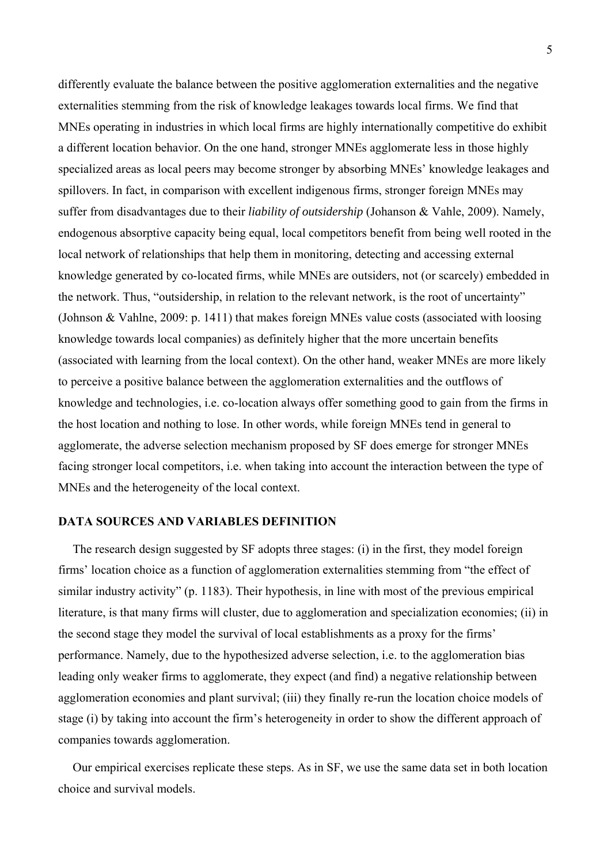differently evaluate the balance between the positive agglomeration externalities and the negative externalities stemming from the risk of knowledge leakages towards local firms. We find that MNEs operating in industries in which local firms are highly internationally competitive do exhibit a different location behavior. On the one hand, stronger MNEs agglomerate less in those highly specialized areas as local peers may become stronger by absorbing MNEs' knowledge leakages and spillovers. In fact, in comparison with excellent indigenous firms, stronger foreign MNEs may suffer from disadvantages due to their *liability of outsidership* (Johanson & Vahle, 2009). Namely, endogenous absorptive capacity being equal, local competitors benefit from being well rooted in the local network of relationships that help them in monitoring, detecting and accessing external knowledge generated by co-located firms, while MNEs are outsiders, not (or scarcely) embedded in the network. Thus, "outsidership, in relation to the relevant network, is the root of uncertainty" (Johnson & Vahlne, 2009: p. 1411) that makes foreign MNEs value costs (associated with loosing knowledge towards local companies) as definitely higher that the more uncertain benefits (associated with learning from the local context). On the other hand, weaker MNEs are more likely to perceive a positive balance between the agglomeration externalities and the outflows of knowledge and technologies, i.e. co-location always offer something good to gain from the firms in the host location and nothing to lose. In other words, while foreign MNEs tend in general to agglomerate, the adverse selection mechanism proposed by SF does emerge for stronger MNEs facing stronger local competitors, i.e. when taking into account the interaction between the type of MNEs and the heterogeneity of the local context.

# **DATA SOURCES AND VARIABLES DEFINITION**

The research design suggested by SF adopts three stages: (i) in the first, they model foreign firms' location choice as a function of agglomeration externalities stemming from "the effect of similar industry activity" (p. 1183). Their hypothesis, in line with most of the previous empirical literature, is that many firms will cluster, due to agglomeration and specialization economies; (ii) in the second stage they model the survival of local establishments as a proxy for the firms' performance. Namely, due to the hypothesized adverse selection, i.e. to the agglomeration bias leading only weaker firms to agglomerate, they expect (and find) a negative relationship between agglomeration economies and plant survival; (iii) they finally re-run the location choice models of stage (i) by taking into account the firm's heterogeneity in order to show the different approach of companies towards agglomeration.

Our empirical exercises replicate these steps. As in SF, we use the same data set in both location choice and survival models.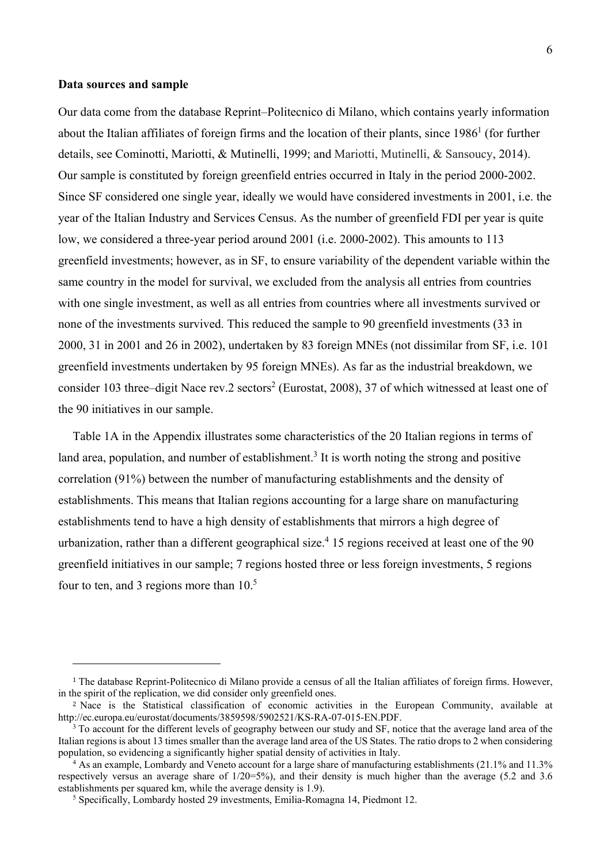#### **Data sources and sample**

1

Our data come from the database Reprint–Politecnico di Milano, which contains yearly information about the Italian affiliates of foreign firms and the location of their plants, since  $1986<sup>1</sup>$  (for further details, see Cominotti, Mariotti, & Mutinelli, 1999; and Mariotti, Mutinelli, & Sansoucy, 2014). Our sample is constituted by foreign greenfield entries occurred in Italy in the period 2000-2002. Since SF considered one single year, ideally we would have considered investments in 2001, i.e. the year of the Italian Industry and Services Census. As the number of greenfield FDI per year is quite low, we considered a three-year period around 2001 (i.e. 2000-2002). This amounts to 113 greenfield investments; however, as in SF, to ensure variability of the dependent variable within the same country in the model for survival, we excluded from the analysis all entries from countries with one single investment, as well as all entries from countries where all investments survived or none of the investments survived. This reduced the sample to 90 greenfield investments (33 in 2000, 31 in 2001 and 26 in 2002), undertaken by 83 foreign MNEs (not dissimilar from SF, i.e. 101 greenfield investments undertaken by 95 foreign MNEs). As far as the industrial breakdown, we consider 103 three–digit Nace rev.2 sectors<sup>2</sup> (Eurostat, 2008), 37 of which witnessed at least one of the 90 initiatives in our sample.

Table 1A in the Appendix illustrates some characteristics of the 20 Italian regions in terms of land area, population, and number of establishment.<sup>3</sup> It is worth noting the strong and positive correlation (91%) between the number of manufacturing establishments and the density of establishments. This means that Italian regions accounting for a large share on manufacturing establishments tend to have a high density of establishments that mirrors a high degree of urbanization, rather than a different geographical size.<sup>4</sup> 15 regions received at least one of the 90 greenfield initiatives in our sample; 7 regions hosted three or less foreign investments, 5 regions four to ten, and 3 regions more than 10.<sup>5</sup>

<sup>1</sup> The database Reprint-Politecnico di Milano provide a census of all the Italian affiliates of foreign firms. However, in the spirit of the replication, we did consider only greenfield ones.

<sup>2</sup> Nace is the Statistical classification of economic activities in the European Community, available at http://ec.europa.eu/eurostat/documents/3859598/5902521/KS-RA-07-015-EN.PDF.

<sup>&</sup>lt;sup>3</sup> To account for the different levels of geography between our study and SF, notice that the average land area of the Italian regions is about 13 times smaller than the average land area of the US States. The ratio drops to 2 when considering population, so evidencing a significantly higher spatial density of activities in Italy. 4

<sup>&</sup>lt;sup>4</sup> As an example, Lombardy and Veneto account for a large share of manufacturing establishments (21.1% and 11.3% respectively versus an average share of 1/20=5%), and their density is much higher than the average (5.2 and 3.6 establishments per squared km, while the average density is 1.9).

<sup>&</sup>lt;sup>5</sup> Specifically, Lombardy hosted 29 investments, Emilia-Romagna 14, Piedmont 12.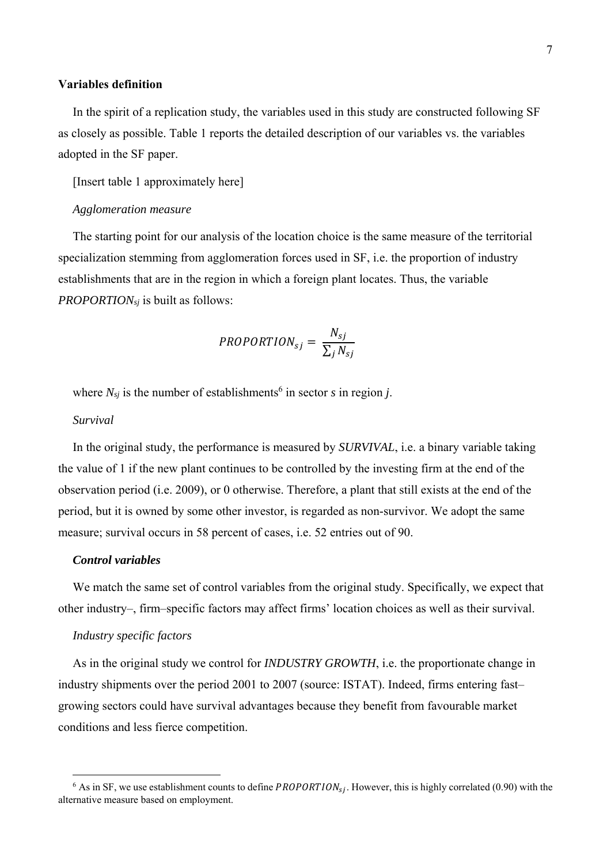# **Variables definition**

In the spirit of a replication study, the variables used in this study are constructed following SF as closely as possible. Table 1 reports the detailed description of our variables vs. the variables adopted in the SF paper.

[Insert table 1 approximately here]

#### *Agglomeration measure*

The starting point for our analysis of the location choice is the same measure of the territorial specialization stemming from agglomeration forces used in SF, i.e. the proportion of industry establishments that are in the region in which a foreign plant locates. Thus, the variable *PROPORTIONsj* is built as follows:

$$
PROPORTION_{sj} = \frac{N_{sj}}{\sum_{j} N_{sj}}
$$

where  $N_{sj}$  is the number of establishments<sup>6</sup> in sector *s* in region *j*.

### *Survival*

In the original study, the performance is measured by *SURVIVAL*, i.e. a binary variable taking the value of 1 if the new plant continues to be controlled by the investing firm at the end of the observation period (i.e. 2009), or 0 otherwise. Therefore, a plant that still exists at the end of the period, but it is owned by some other investor, is regarded as non-survivor. We adopt the same measure; survival occurs in 58 percent of cases, i.e. 52 entries out of 90.

# *Control variables*

We match the same set of control variables from the original study. Specifically, we expect that other industry–, firm–specific factors may affect firms' location choices as well as their survival.

#### *Industry specific factors*

As in the original study we control for *INDUSTRY GROWTH*, i.e. the proportionate change in industry shipments over the period 2001 to 2007 (source: ISTAT). Indeed, firms entering fast– growing sectors could have survival advantages because they benefit from favourable market conditions and less fierce competition.

 $\frac{6}{6}$  As in SF, we use establishment counts to define *PROPORTION<sub>sj</sub>*. However, this is highly correlated (0.90) with the alternative measure based on employment.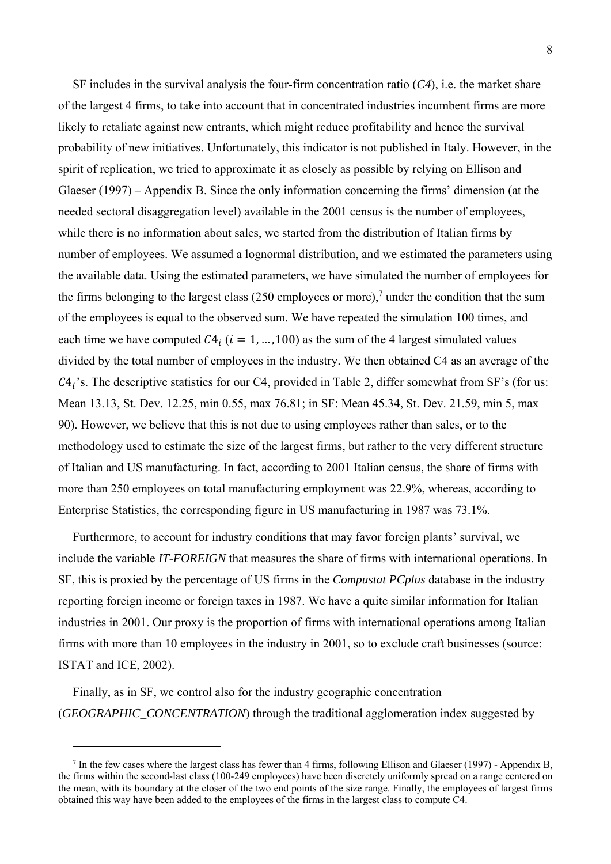SF includes in the survival analysis the four-firm concentration ratio (*C4*), i.e. the market share of the largest 4 firms, to take into account that in concentrated industries incumbent firms are more likely to retaliate against new entrants, which might reduce profitability and hence the survival probability of new initiatives. Unfortunately, this indicator is not published in Italy. However, in the spirit of replication, we tried to approximate it as closely as possible by relying on Ellison and Glaeser (1997) – Appendix B. Since the only information concerning the firms' dimension (at the needed sectoral disaggregation level) available in the 2001 census is the number of employees, while there is no information about sales, we started from the distribution of Italian firms by number of employees. We assumed a lognormal distribution, and we estimated the parameters using the available data. Using the estimated parameters, we have simulated the number of employees for the firms belonging to the largest class (250 employees or more),<sup>7</sup> under the condition that the sum of the employees is equal to the observed sum. We have repeated the simulation 100 times, and each time we have computed  $C_1$  ( $i = 1, ..., 100$ ) as the sum of the 4 largest simulated values divided by the total number of employees in the industry. We then obtained C4 as an average of the  $C4_i$ 's. The descriptive statistics for our C4, provided in Table 2, differ somewhat from SF's (for us: Mean 13.13, St. Dev. 12.25, min 0.55, max 76.81; in SF: Mean 45.34, St. Dev. 21.59, min 5, max 90). However, we believe that this is not due to using employees rather than sales, or to the methodology used to estimate the size of the largest firms, but rather to the very different structure of Italian and US manufacturing. In fact, according to 2001 Italian census, the share of firms with more than 250 employees on total manufacturing employment was 22.9%, whereas, according to Enterprise Statistics, the corresponding figure in US manufacturing in 1987 was 73.1%.

Furthermore, to account for industry conditions that may favor foreign plants' survival, we include the variable *IT-FOREIGN* that measures the share of firms with international operations. In SF, this is proxied by the percentage of US firms in the *Compustat PCplus* database in the industry reporting foreign income or foreign taxes in 1987. We have a quite similar information for Italian industries in 2001. Our proxy is the proportion of firms with international operations among Italian firms with more than 10 employees in the industry in 2001, so to exclude craft businesses (source: ISTAT and ICE, 2002).

Finally, as in SF, we control also for the industry geographic concentration (*GEOGRAPHIC\_CONCENTRATION*) through the traditional agglomeration index suggested by

1

<sup>7</sup> In the few cases where the largest class has fewer than 4 firms, following Ellison and Glaeser (1997) - Appendix B, the firms within the second-last class (100-249 employees) have been discretely uniformly spread on a range centered on the mean, with its boundary at the closer of the two end points of the size range. Finally, the employees of largest firms obtained this way have been added to the employees of the firms in the largest class to compute C4.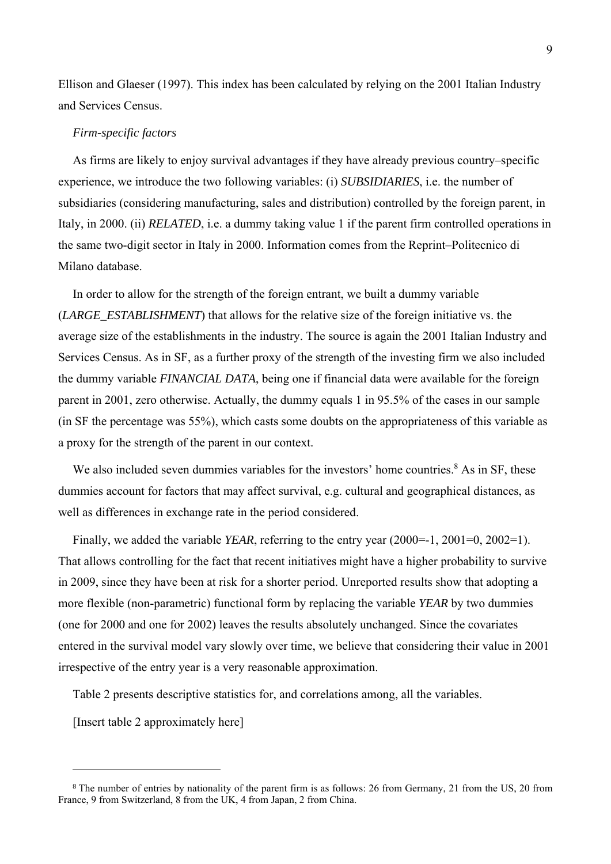Ellison and Glaeser (1997). This index has been calculated by relying on the 2001 Italian Industry and Services Census.

### *Firm-specific factors*

As firms are likely to enjoy survival advantages if they have already previous country–specific experience, we introduce the two following variables: (i) *SUBSIDIARIES*, i.e. the number of subsidiaries (considering manufacturing, sales and distribution) controlled by the foreign parent, in Italy, in 2000. (ii) *RELATED*, i.e. a dummy taking value 1 if the parent firm controlled operations in the same two-digit sector in Italy in 2000. Information comes from the Reprint–Politecnico di Milano database.

In order to allow for the strength of the foreign entrant, we built a dummy variable (*LARGE\_ESTABLISHMENT*) that allows for the relative size of the foreign initiative vs. the average size of the establishments in the industry. The source is again the 2001 Italian Industry and Services Census. As in SF, as a further proxy of the strength of the investing firm we also included the dummy variable *FINANCIAL DATA*, being one if financial data were available for the foreign parent in 2001, zero otherwise. Actually, the dummy equals 1 in 95.5% of the cases in our sample (in SF the percentage was 55%), which casts some doubts on the appropriateness of this variable as a proxy for the strength of the parent in our context.

We also included seven dummies variables for the investors' home countries. $8$  As in SF, these dummies account for factors that may affect survival, e.g. cultural and geographical distances, as well as differences in exchange rate in the period considered.

Finally, we added the variable *YEAR*, referring to the entry year (2000=-1, 2001=0, 2002=1). That allows controlling for the fact that recent initiatives might have a higher probability to survive in 2009, since they have been at risk for a shorter period. Unreported results show that adopting a more flexible (non-parametric) functional form by replacing the variable *YEAR* by two dummies (one for 2000 and one for 2002) leaves the results absolutely unchanged. Since the covariates entered in the survival model vary slowly over time, we believe that considering their value in 2001 irrespective of the entry year is a very reasonable approximation.

Table 2 presents descriptive statistics for, and correlations among, all the variables.

[Insert table 2 approximately here]

1

<sup>&</sup>lt;sup>8</sup> The number of entries by nationality of the parent firm is as follows: 26 from Germany, 21 from the US, 20 from France, 9 from Switzerland, 8 from the UK, 4 from Japan, 2 from China.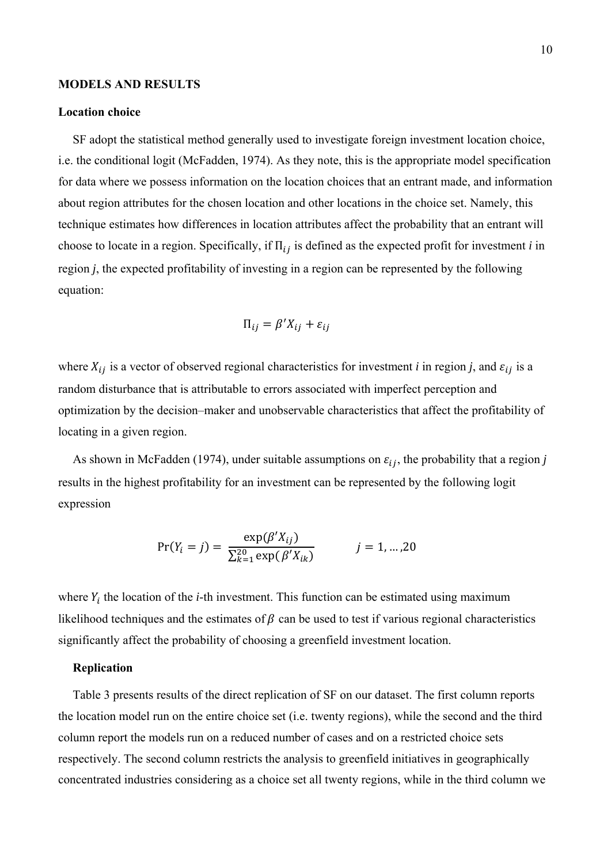# **MODELS AND RESULTS**

#### **Location choice**

SF adopt the statistical method generally used to investigate foreign investment location choice, i.e. the conditional logit (McFadden, 1974). As they note, this is the appropriate model specification for data where we possess information on the location choices that an entrant made, and information about region attributes for the chosen location and other locations in the choice set. Namely, this technique estimates how differences in location attributes affect the probability that an entrant will choose to locate in a region. Specifically, if  $\Pi_{ij}$  is defined as the expected profit for investment *i* in region *j*, the expected profitability of investing in a region can be represented by the following equation:

$$
\Pi_{ij} = \beta' X_{ij} + \varepsilon_{ij}
$$

where  $X_{ij}$  is a vector of observed regional characteristics for investment *i* in region *j*, and  $\varepsilon_{ij}$  is a random disturbance that is attributable to errors associated with imperfect perception and optimization by the decision–maker and unobservable characteristics that affect the profitability of locating in a given region.

As shown in McFadden (1974), under suitable assumptions on  $\varepsilon_{ij}$ , the probability that a region *j* results in the highest profitability for an investment can be represented by the following logit expression

$$
Pr(Y_i = j) = \frac{\exp(\beta' X_{ij})}{\sum_{k=1}^{20} \exp(\beta' X_{ik})}
$$
  $j = 1, ..., 20$ 

where  $Y_i$  the location of the *i*-th investment. This function can be estimated using maximum likelihood techniques and the estimates of  $\beta$  can be used to test if various regional characteristics significantly affect the probability of choosing a greenfield investment location.

### **Replication**

Table 3 presents results of the direct replication of SF on our dataset. The first column reports the location model run on the entire choice set (i.e. twenty regions), while the second and the third column report the models run on a reduced number of cases and on a restricted choice sets respectively. The second column restricts the analysis to greenfield initiatives in geographically concentrated industries considering as a choice set all twenty regions, while in the third column we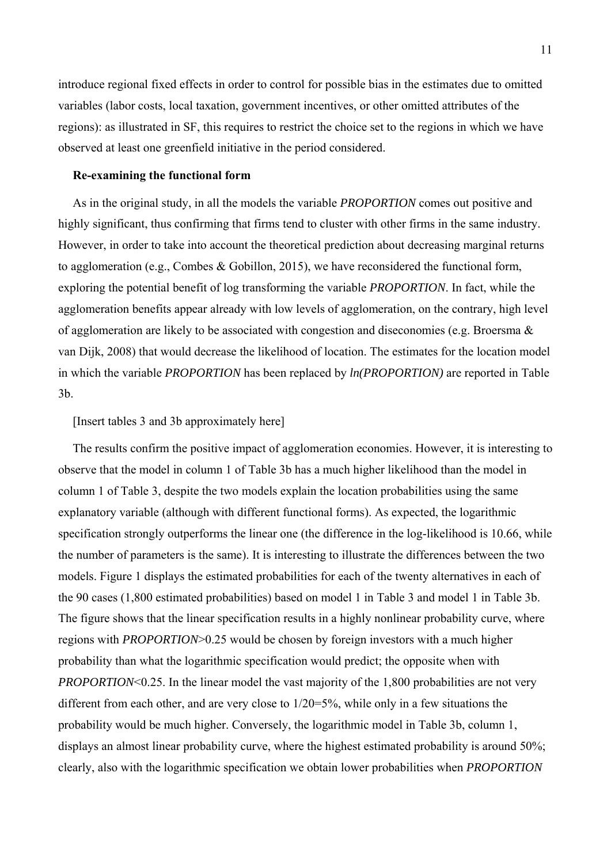introduce regional fixed effects in order to control for possible bias in the estimates due to omitted variables (labor costs, local taxation, government incentives, or other omitted attributes of the regions): as illustrated in SF, this requires to restrict the choice set to the regions in which we have observed at least one greenfield initiative in the period considered.

### **Re-examining the functional form**

As in the original study, in all the models the variable *PROPORTION* comes out positive and highly significant, thus confirming that firms tend to cluster with other firms in the same industry. However, in order to take into account the theoretical prediction about decreasing marginal returns to agglomeration (e.g., Combes & Gobillon, 2015), we have reconsidered the functional form, exploring the potential benefit of log transforming the variable *PROPORTION*. In fact, while the agglomeration benefits appear already with low levels of agglomeration, on the contrary, high level of agglomeration are likely to be associated with congestion and diseconomies (e.g. Broersma & van Dijk, 2008) that would decrease the likelihood of location. The estimates for the location model in which the variable *PROPORTION* has been replaced by *ln(PROPORTION)* are reported in Table 3b.

[Insert tables 3 and 3b approximately here]

The results confirm the positive impact of agglomeration economies. However, it is interesting to observe that the model in column 1 of Table 3b has a much higher likelihood than the model in column 1 of Table 3, despite the two models explain the location probabilities using the same explanatory variable (although with different functional forms). As expected, the logarithmic specification strongly outperforms the linear one (the difference in the log-likelihood is 10.66, while the number of parameters is the same). It is interesting to illustrate the differences between the two models. Figure 1 displays the estimated probabilities for each of the twenty alternatives in each of the 90 cases (1,800 estimated probabilities) based on model 1 in Table 3 and model 1 in Table 3b. The figure shows that the linear specification results in a highly nonlinear probability curve, where regions with *PROPORTION*>0.25 would be chosen by foreign investors with a much higher probability than what the logarithmic specification would predict; the opposite when with *PROPORTION*<0.25. In the linear model the vast majority of the 1,800 probabilities are not very different from each other, and are very close to 1/20=5%, while only in a few situations the probability would be much higher. Conversely, the logarithmic model in Table 3b, column 1, displays an almost linear probability curve, where the highest estimated probability is around 50%; clearly, also with the logarithmic specification we obtain lower probabilities when *PROPORTION*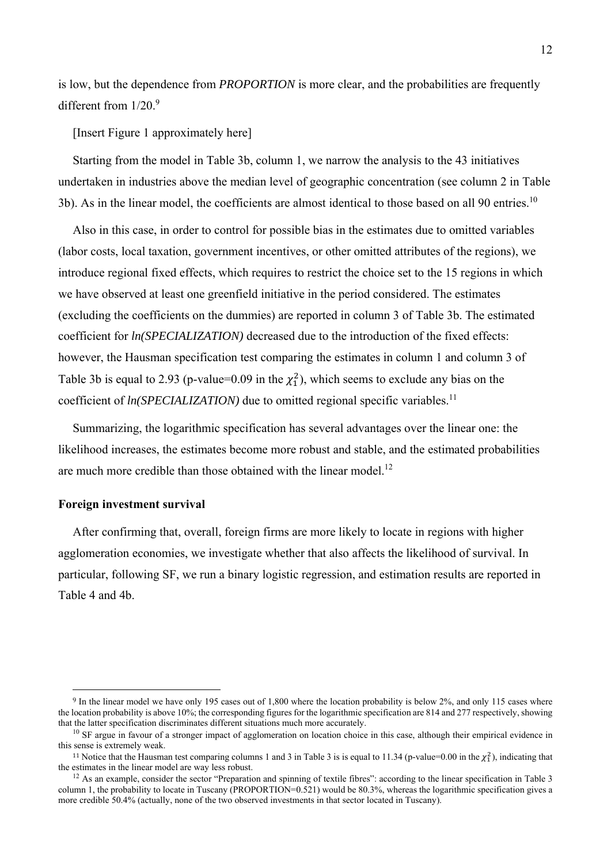is low, but the dependence from *PROPORTION* is more clear, and the probabilities are frequently different from  $1/20$ .<sup>9</sup>

[Insert Figure 1 approximately here]

Starting from the model in Table 3b, column 1, we narrow the analysis to the 43 initiatives undertaken in industries above the median level of geographic concentration (see column 2 in Table 3b). As in the linear model, the coefficients are almost identical to those based on all 90 entries.<sup>10</sup>

Also in this case, in order to control for possible bias in the estimates due to omitted variables (labor costs, local taxation, government incentives, or other omitted attributes of the regions), we introduce regional fixed effects, which requires to restrict the choice set to the 15 regions in which we have observed at least one greenfield initiative in the period considered. The estimates (excluding the coefficients on the dummies) are reported in column 3 of Table 3b. The estimated coefficient for *ln(SPECIALIZATION)* decreased due to the introduction of the fixed effects: however, the Hausman specification test comparing the estimates in column 1 and column 3 of Table 3b is equal to 2.93 (p-value=0.09 in the  $\chi_1^2$ ), which seems to exclude any bias on the coefficient of *ln(SPECIALIZATION)* due to omitted regional specific variables.<sup>11</sup>

Summarizing, the logarithmic specification has several advantages over the linear one: the likelihood increases, the estimates become more robust and stable, and the estimated probabilities are much more credible than those obtained with the linear model.<sup>12</sup>

#### **Foreign investment survival**

<u>.</u>

After confirming that, overall, foreign firms are more likely to locate in regions with higher agglomeration economies, we investigate whether that also affects the likelihood of survival. In particular, following SF, we run a binary logistic regression, and estimation results are reported in Table 4 and 4b.

<sup>9</sup> In the linear model we have only 195 cases out of 1,800 where the location probability is below 2%, and only 115 cases where the location probability is above 10%; the corresponding figures for the logarithmic specification are 814 and 277 respectively, showing that the latter specification discriminates different situations much more accurately.

<sup>&</sup>lt;sup>10</sup> SF argue in favour of a stronger impact of agglomeration on location choice in this case, although their empirical evidence in this sense is extremely weak.

<sup>&</sup>lt;sup>11</sup> Notice that the Hausman test comparing columns 1 and 3 in Table 3 is is equal to 11.34 (p-value=0.00 in the  $\chi_1^2$ ), indicating that the estimates in the linear model are way less robust.

<sup>&</sup>lt;sup>12</sup> As an example, consider the sector "Preparation and spinning of textile fibres": according to the linear specification in Table 3 column 1, the probability to locate in Tuscany (PROPORTION=0.521) would be 80.3%, whereas the logarithmic specification gives a more credible 50.4% (actually, none of the two observed investments in that sector located in Tuscany).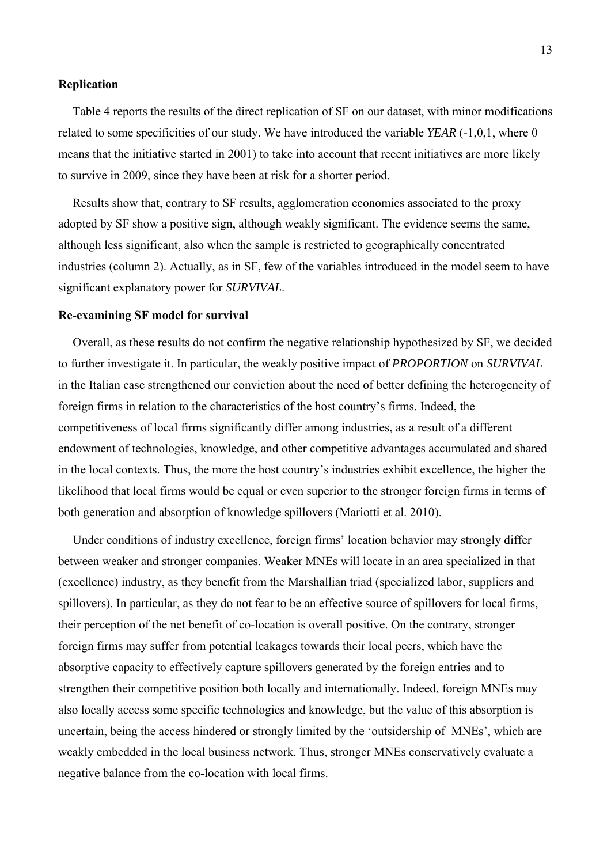## **Replication**

Table 4 reports the results of the direct replication of SF on our dataset, with minor modifications related to some specificities of our study. We have introduced the variable *YEAR* (-1,0,1, where 0 means that the initiative started in 2001) to take into account that recent initiatives are more likely to survive in 2009, since they have been at risk for a shorter period.

Results show that, contrary to SF results, agglomeration economies associated to the proxy adopted by SF show a positive sign, although weakly significant. The evidence seems the same, although less significant, also when the sample is restricted to geographically concentrated industries (column 2). Actually, as in SF, few of the variables introduced in the model seem to have significant explanatory power for *SURVIVAL*.

#### **Re-examining SF model for survival**

Overall, as these results do not confirm the negative relationship hypothesized by SF, we decided to further investigate it. In particular, the weakly positive impact of *PROPORTION* on *SURVIVAL* in the Italian case strengthened our conviction about the need of better defining the heterogeneity of foreign firms in relation to the characteristics of the host country's firms. Indeed, the competitiveness of local firms significantly differ among industries, as a result of a different endowment of technologies, knowledge, and other competitive advantages accumulated and shared in the local contexts. Thus, the more the host country's industries exhibit excellence, the higher the likelihood that local firms would be equal or even superior to the stronger foreign firms in terms of both generation and absorption of knowledge spillovers (Mariotti et al. 2010).

Under conditions of industry excellence, foreign firms' location behavior may strongly differ between weaker and stronger companies. Weaker MNEs will locate in an area specialized in that (excellence) industry, as they benefit from the Marshallian triad (specialized labor, suppliers and spillovers). In particular, as they do not fear to be an effective source of spillovers for local firms, their perception of the net benefit of co-location is overall positive. On the contrary, stronger foreign firms may suffer from potential leakages towards their local peers, which have the absorptive capacity to effectively capture spillovers generated by the foreign entries and to strengthen their competitive position both locally and internationally. Indeed, foreign MNEs may also locally access some specific technologies and knowledge, but the value of this absorption is uncertain, being the access hindered or strongly limited by the 'outsidership of MNEs', which are weakly embedded in the local business network. Thus, stronger MNEs conservatively evaluate a negative balance from the co-location with local firms.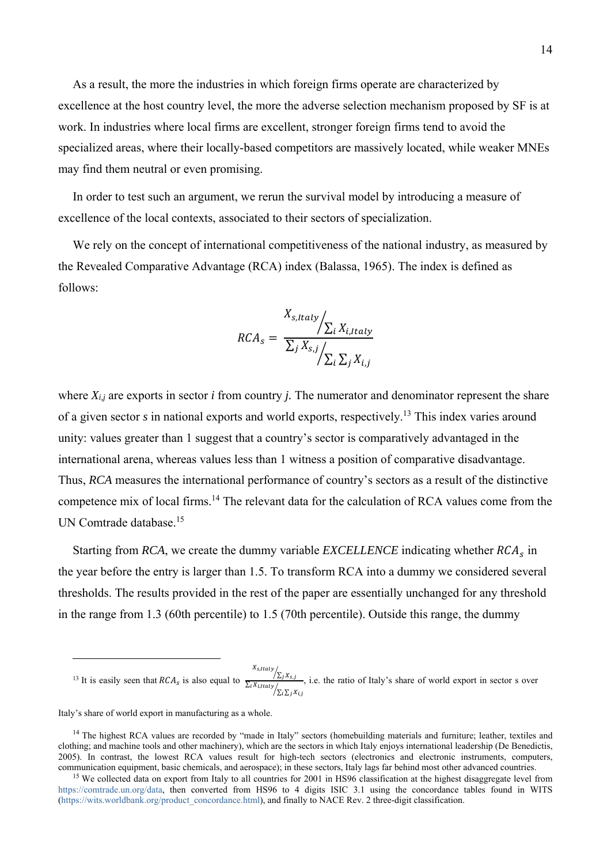As a result, the more the industries in which foreign firms operate are characterized by excellence at the host country level, the more the adverse selection mechanism proposed by SF is at work. In industries where local firms are excellent, stronger foreign firms tend to avoid the specialized areas, where their locally-based competitors are massively located, while weaker MNEs may find them neutral or even promising.

In order to test such an argument, we rerun the survival model by introducing a measure of excellence of the local contexts, associated to their sectors of specialization.

We rely on the concept of international competitiveness of the national industry, as measured by the Revealed Comparative Advantage (RCA) index (Balassa, 1965). The index is defined as follows:

$$
RCA_s = \frac{X_{s, Italy}}{\sum_j X_{s,j}} / \frac{X_{i, Italy}}{\sum_i \sum_j X_{i,j}}
$$

where  $X_{i,j}$  are exports in sector *i* from country *j*. The numerator and denominator represent the share of a given sector *s* in national exports and world exports, respectively.13 This index varies around unity: values greater than 1 suggest that a country's sector is comparatively advantaged in the international arena, whereas values less than 1 witness a position of comparative disadvantage. Thus, *RCA* measures the international performance of country's sectors as a result of the distinctive competence mix of local firms.<sup>14</sup> The relevant data for the calculation of RCA values come from the UN Comtrade database.15

Starting from  $RCA$ , we create the dummy variable *EXCELLENCE* indicating whether  $RCA<sub>s</sub>$  in the year before the entry is larger than 1.5. To transform RCA into a dummy we considered several thresholds. The results provided in the rest of the paper are essentially unchanged for any threshold in the range from 1.3 (60th percentile) to 1.5 (70th percentile). Outside this range, the dummy

<sup>13</sup> It is easily seen that  $RCA<sub>s</sub>$  is also equal to  $\frac{X_{s, Italy}}{\sum_j X_{s,j}}$  $\frac{\sum_{i} X_{i, Italy}}{\sum_{i} \sum_{j} X_{i,j}}$ , i.e. the ratio of Italy's share of world export in sector s over

Italy's share of world export in manufacturing as a whole.

1

<sup>&</sup>lt;sup>14</sup> The highest RCA values are recorded by "made in Italy" sectors (homebuilding materials and furniture; leather, textiles and clothing; and machine tools and other machinery), which are the sectors in which Italy enjoys international leadership (De Benedictis, 2005). In contrast, the lowest RCA values result for high-tech sectors (electronics and electronic instruments, computers, communication equipment, basic chemicals, and aerospace); in these sectors, Italy lags far behind most other advanced countries.

<sup>&</sup>lt;sup>15</sup> We collected data on export from Italy to all countries for 2001 in HS96 classification at the highest disaggregate level from https://comtrade.un.org/data, then converted from HS96 to 4 digits ISIC 3.1 using the concordance tables found in WITS (https://wits.worldbank.org/product\_concordance.html), and finally to NACE Rev. 2 three-digit classification.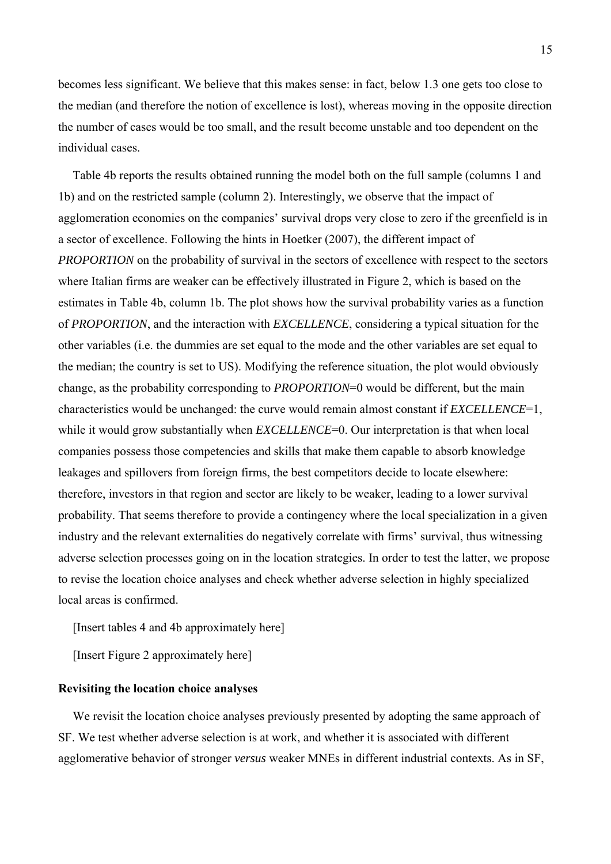becomes less significant. We believe that this makes sense: in fact, below 1.3 one gets too close to the median (and therefore the notion of excellence is lost), whereas moving in the opposite direction the number of cases would be too small, and the result become unstable and too dependent on the individual cases.

Table 4b reports the results obtained running the model both on the full sample (columns 1 and 1b) and on the restricted sample (column 2). Interestingly, we observe that the impact of agglomeration economies on the companies' survival drops very close to zero if the greenfield is in a sector of excellence. Following the hints in Hoetker (2007), the different impact of *PROPORTION* on the probability of survival in the sectors of excellence with respect to the sectors where Italian firms are weaker can be effectively illustrated in Figure 2, which is based on the estimates in Table 4b, column 1b. The plot shows how the survival probability varies as a function of *PROPORTION*, and the interaction with *EXCELLENCE*, considering a typical situation for the other variables (i.e. the dummies are set equal to the mode and the other variables are set equal to the median; the country is set to US). Modifying the reference situation, the plot would obviously change, as the probability corresponding to *PROPORTION*=0 would be different, but the main characteristics would be unchanged: the curve would remain almost constant if *EXCELLENCE*=1, while it would grow substantially when *EXCELLENCE*=0. Our interpretation is that when local companies possess those competencies and skills that make them capable to absorb knowledge leakages and spillovers from foreign firms, the best competitors decide to locate elsewhere: therefore, investors in that region and sector are likely to be weaker, leading to a lower survival probability. That seems therefore to provide a contingency where the local specialization in a given industry and the relevant externalities do negatively correlate with firms' survival, thus witnessing adverse selection processes going on in the location strategies. In order to test the latter, we propose to revise the location choice analyses and check whether adverse selection in highly specialized local areas is confirmed.

[Insert tables 4 and 4b approximately here]

[Insert Figure 2 approximately here]

#### **Revisiting the location choice analyses**

We revisit the location choice analyses previously presented by adopting the same approach of SF. We test whether adverse selection is at work, and whether it is associated with different agglomerative behavior of stronger *versus* weaker MNEs in different industrial contexts. As in SF,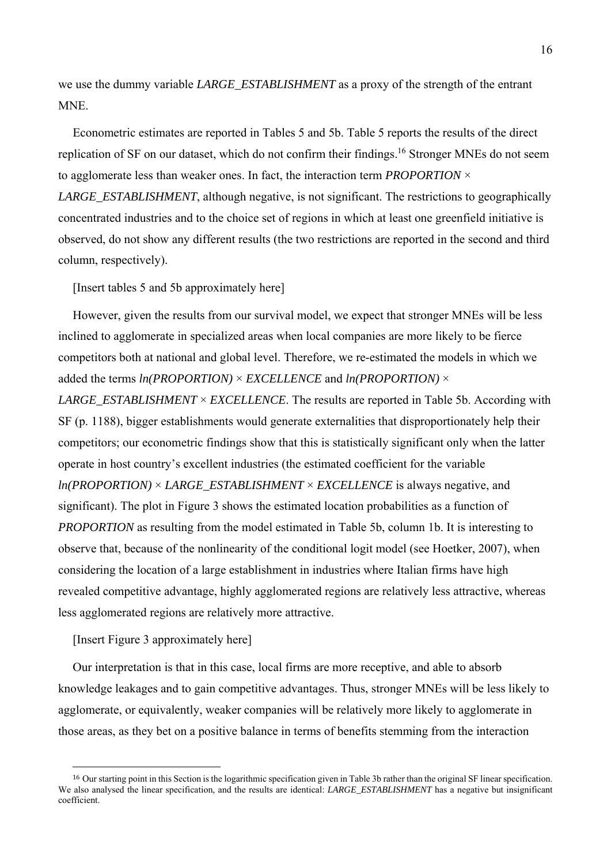we use the dummy variable *LARGE\_ESTABLISHMENT* as a proxy of the strength of the entrant MNE.

Econometric estimates are reported in Tables 5 and 5b. Table 5 reports the results of the direct replication of SF on our dataset, which do not confirm their findings.16 Stronger MNEs do not seem to agglomerate less than weaker ones. In fact, the interaction term *PROPORTION* × *LARGE\_ESTABLISHMENT*, although negative, is not significant. The restrictions to geographically concentrated industries and to the choice set of regions in which at least one greenfield initiative is observed, do not show any different results (the two restrictions are reported in the second and third column, respectively).

[Insert tables 5 and 5b approximately here]

However, given the results from our survival model, we expect that stronger MNEs will be less inclined to agglomerate in specialized areas when local companies are more likely to be fierce competitors both at national and global level. Therefore, we re-estimated the models in which we added the terms *ln(PROPORTION)* × *EXCELLENCE* and *ln(PROPORTION)* × *LARGE\_ESTABLISHMENT*  $\times$  *<i>EXCELLENCE*. The results are reported in Table 5b. According with SF (p. 1188), bigger establishments would generate externalities that disproportionately help their competitors; our econometric findings show that this is statistically significant only when the latter operate in host country's excellent industries (the estimated coefficient for the variable *ln(PROPORTION)* × *LARGE\_ESTABLISHMENT* × *EXCELLENCE* is always negative, and significant). The plot in Figure 3 shows the estimated location probabilities as a function of *PROPORTION* as resulting from the model estimated in Table 5b, column 1b. It is interesting to observe that, because of the nonlinearity of the conditional logit model (see Hoetker, 2007), when considering the location of a large establishment in industries where Italian firms have high revealed competitive advantage, highly agglomerated regions are relatively less attractive, whereas less agglomerated regions are relatively more attractive.

[Insert Figure 3 approximately here]

1

Our interpretation is that in this case, local firms are more receptive, and able to absorb knowledge leakages and to gain competitive advantages. Thus, stronger MNEs will be less likely to agglomerate, or equivalently, weaker companies will be relatively more likely to agglomerate in those areas, as they bet on a positive balance in terms of benefits stemming from the interaction

<sup>16</sup> Our starting point in this Section is the logarithmic specification given in Table 3b rather than the original SF linear specification. We also analysed the linear specification, and the results are identical: *LARGE\_ESTABLISHMENT* has a negative but insignificant coefficient.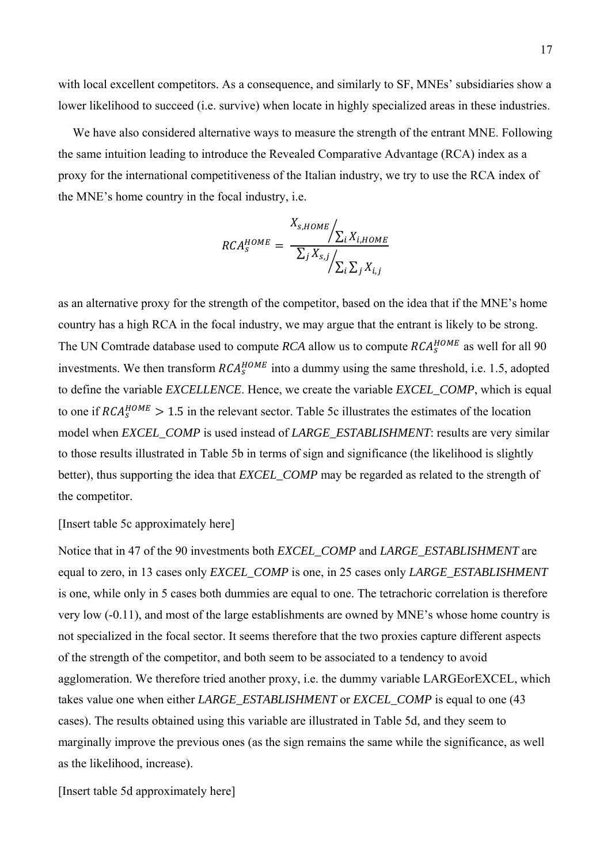with local excellent competitors. As a consequence, and similarly to SF, MNEs' subsidiaries show a lower likelihood to succeed (i.e. survive) when locate in highly specialized areas in these industries.

We have also considered alternative ways to measure the strength of the entrant MNE. Following the same intuition leading to introduce the Revealed Comparative Advantage (RCA) index as a proxy for the international competitiveness of the Italian industry, we try to use the RCA index of the MNE's home country in the focal industry, i.e.

$$
RCA_{s}^{HOME} = \frac{X_{s,HOME}}{\sum_{j} X_{s,j}} \frac{X_{i,HOME}}{\sum_{i} X_{s,j}} \frac{X_{i,HOME}}{\sum_{i} X_{i,j}}
$$

as an alternative proxy for the strength of the competitor, based on the idea that if the MNE's home country has a high RCA in the focal industry, we may argue that the entrant is likely to be strong. The UN Comtrade database used to compute  $RCA$  allow us to compute  $RCA_{S}^{HOME}$  as well for all 90 investments. We then transform  $RCA_5^{HOME}$  into a dummy using the same threshold, i.e. 1.5, adopted to define the variable *EXCELLENCE*. Hence, we create the variable *EXCEL\_COMP*, which is equal to one if  $RCA_5^{HOME} > 1.5$  in the relevant sector. Table 5c illustrates the estimates of the location model when *EXCEL\_COMP* is used instead of *LARGE\_ESTABLISHMENT*: results are very similar to those results illustrated in Table 5b in terms of sign and significance (the likelihood is slightly better), thus supporting the idea that *EXCEL\_COMP* may be regarded as related to the strength of the competitor.

[Insert table 5c approximately here]

Notice that in 47 of the 90 investments both *EXCEL\_COMP* and *LARGE\_ESTABLISHMENT* are equal to zero, in 13 cases only *EXCEL\_COMP* is one, in 25 cases only *LARGE\_ESTABLISHMENT* is one, while only in 5 cases both dummies are equal to one. The tetrachoric correlation is therefore very low (-0.11), and most of the large establishments are owned by MNE's whose home country is not specialized in the focal sector. It seems therefore that the two proxies capture different aspects of the strength of the competitor, and both seem to be associated to a tendency to avoid agglomeration. We therefore tried another proxy, i.e. the dummy variable LARGEorEXCEL, which takes value one when either *LARGE\_ESTABLISHMENT* or *EXCEL\_COMP* is equal to one (43 cases). The results obtained using this variable are illustrated in Table 5d, and they seem to marginally improve the previous ones (as the sign remains the same while the significance, as well as the likelihood, increase).

[Insert table 5d approximately here]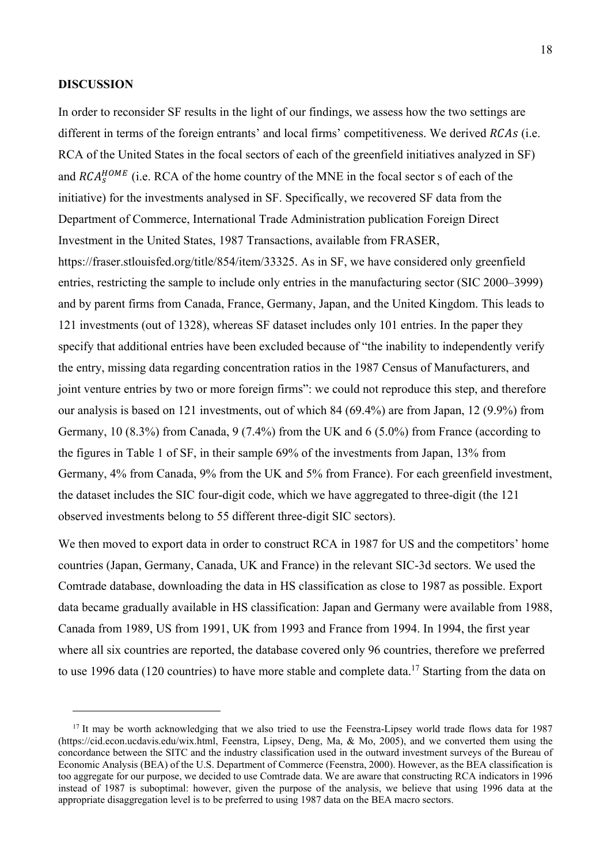# **DISCUSSION**

1

In order to reconsider SF results in the light of our findings, we assess how the two settings are different in terms of the foreign entrants' and local firms' competitiveness. We derived  $RCAs$  (i.e. RCA of the United States in the focal sectors of each of the greenfield initiatives analyzed in SF) and  $RCA_5^{HOME}$  (i.e. RCA of the home country of the MNE in the focal sector s of each of the initiative) for the investments analysed in SF. Specifically, we recovered SF data from the Department of Commerce, International Trade Administration publication Foreign Direct Investment in the United States, 1987 Transactions, available from FRASER, https://fraser.stlouisfed.org/title/854/item/33325. As in SF, we have considered only greenfield entries, restricting the sample to include only entries in the manufacturing sector (SIC 2000–3999) and by parent firms from Canada, France, Germany, Japan, and the United Kingdom. This leads to 121 investments (out of 1328), whereas SF dataset includes only 101 entries. In the paper they specify that additional entries have been excluded because of "the inability to independently verify the entry, missing data regarding concentration ratios in the 1987 Census of Manufacturers, and joint venture entries by two or more foreign firms": we could not reproduce this step, and therefore our analysis is based on 121 investments, out of which 84 (69.4%) are from Japan, 12 (9.9%) from Germany, 10 (8.3%) from Canada, 9 (7.4%) from the UK and 6 (5.0%) from France (according to the figures in Table 1 of SF, in their sample 69% of the investments from Japan, 13% from Germany, 4% from Canada, 9% from the UK and 5% from France). For each greenfield investment, the dataset includes the SIC four-digit code, which we have aggregated to three-digit (the 121 observed investments belong to 55 different three-digit SIC sectors).

We then moved to export data in order to construct RCA in 1987 for US and the competitors' home countries (Japan, Germany, Canada, UK and France) in the relevant SIC-3d sectors. We used the Comtrade database, downloading the data in HS classification as close to 1987 as possible. Export data became gradually available in HS classification: Japan and Germany were available from 1988, Canada from 1989, US from 1991, UK from 1993 and France from 1994. In 1994, the first year where all six countries are reported, the database covered only 96 countries, therefore we preferred to use 1996 data (120 countries) to have more stable and complete data.<sup>17</sup> Starting from the data on

<sup>&</sup>lt;sup>17</sup> It may be worth acknowledging that we also tried to use the Feenstra-Lipsey world trade flows data for 1987 (https://cid.econ.ucdavis.edu/wix.html, Feenstra, Lipsey, Deng, Ma, & Mo, 2005), and we converted them using the concordance between the SITC and the industry classification used in the outward investment surveys of the Bureau of Economic Analysis (BEA) of the U.S. Department of Commerce (Feenstra, 2000). However, as the BEA classification is too aggregate for our purpose, we decided to use Comtrade data. We are aware that constructing RCA indicators in 1996 instead of 1987 is suboptimal: however, given the purpose of the analysis, we believe that using 1996 data at the appropriate disaggregation level is to be preferred to using 1987 data on the BEA macro sectors.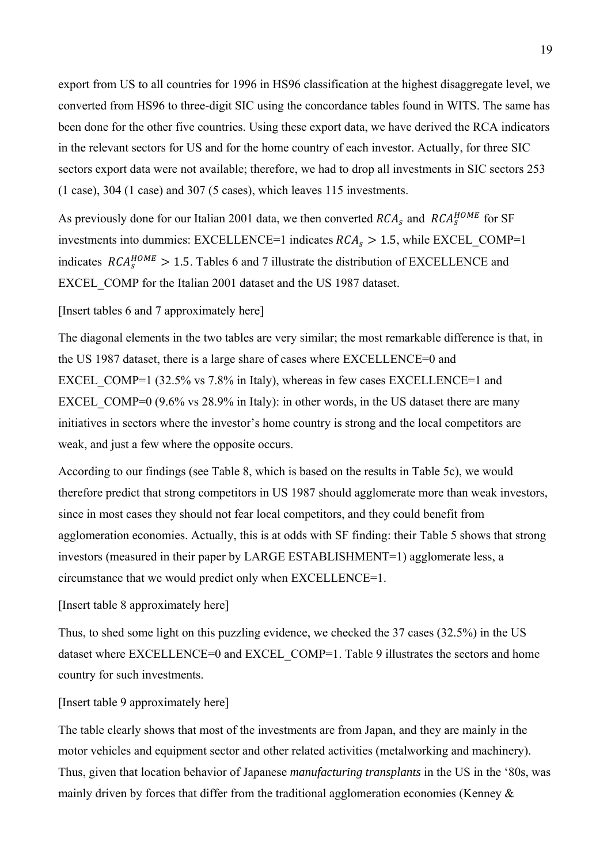export from US to all countries for 1996 in HS96 classification at the highest disaggregate level, we converted from HS96 to three-digit SIC using the concordance tables found in WITS. The same has been done for the other five countries. Using these export data, we have derived the RCA indicators in the relevant sectors for US and for the home country of each investor. Actually, for three SIC sectors export data were not available; therefore, we had to drop all investments in SIC sectors 253 (1 case), 304 (1 case) and 307 (5 cases), which leaves 115 investments.

As previously done for our Italian 2001 data, we then converted  $RCA_s$  and  $RCA_s^{HOME}$  for SF investments into dummies: EXCELLENCE=1 indicates  $RCA<sub>s</sub> > 1.5$ , while EXCEL COMP=1 indicates  $RCA_5^{HOME} > 1.5$ . Tables 6 and 7 illustrate the distribution of EXCELLENCE and EXCEL\_COMP for the Italian 2001 dataset and the US 1987 dataset.

# [Insert tables 6 and 7 approximately here]

The diagonal elements in the two tables are very similar; the most remarkable difference is that, in the US 1987 dataset, there is a large share of cases where EXCELLENCE=0 and EXCEL COMP=1 (32.5% vs 7.8% in Italy), whereas in few cases EXCELLENCE=1 and EXCEL COMP=0 (9.6% vs 28.9% in Italy): in other words, in the US dataset there are many initiatives in sectors where the investor's home country is strong and the local competitors are weak, and just a few where the opposite occurs.

According to our findings (see Table 8, which is based on the results in Table 5c), we would therefore predict that strong competitors in US 1987 should agglomerate more than weak investors, since in most cases they should not fear local competitors, and they could benefit from agglomeration economies. Actually, this is at odds with SF finding: their Table 5 shows that strong investors (measured in their paper by LARGE ESTABLISHMENT=1) agglomerate less, a circumstance that we would predict only when EXCELLENCE=1.

## [Insert table 8 approximately here]

Thus, to shed some light on this puzzling evidence, we checked the 37 cases (32.5%) in the US dataset where EXCELLENCE=0 and EXCEL COMP=1. Table 9 illustrates the sectors and home country for such investments.

# [Insert table 9 approximately here]

The table clearly shows that most of the investments are from Japan, and they are mainly in the motor vehicles and equipment sector and other related activities (metalworking and machinery). Thus, given that location behavior of Japanese *manufacturing transplants* in the US in the '80s, was mainly driven by forces that differ from the traditional agglomeration economies (Kenney &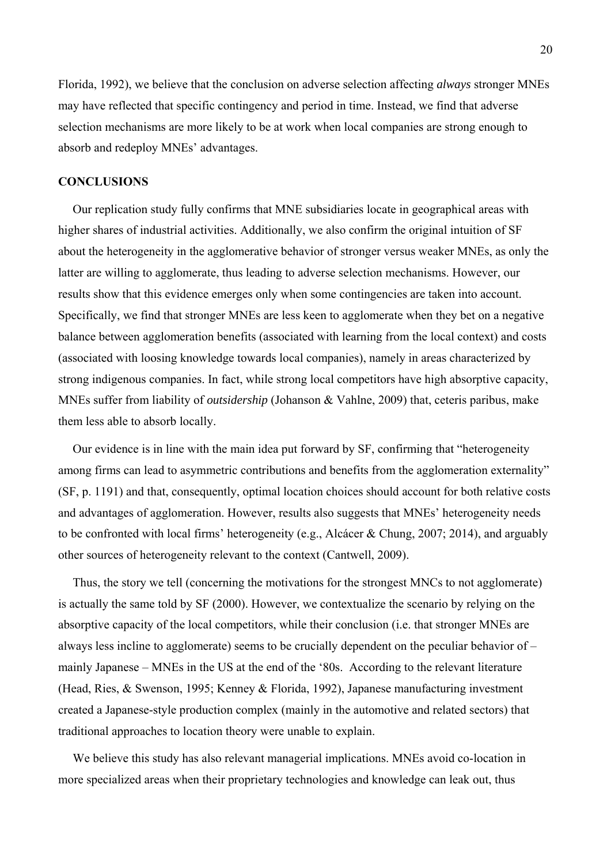Florida, 1992), we believe that the conclusion on adverse selection affecting *always* stronger MNEs may have reflected that specific contingency and period in time. Instead, we find that adverse selection mechanisms are more likely to be at work when local companies are strong enough to absorb and redeploy MNEs' advantages.

#### **CONCLUSIONS**

Our replication study fully confirms that MNE subsidiaries locate in geographical areas with higher shares of industrial activities. Additionally, we also confirm the original intuition of SF about the heterogeneity in the agglomerative behavior of stronger versus weaker MNEs, as only the latter are willing to agglomerate, thus leading to adverse selection mechanisms. However, our results show that this evidence emerges only when some contingencies are taken into account. Specifically, we find that stronger MNEs are less keen to agglomerate when they bet on a negative balance between agglomeration benefits (associated with learning from the local context) and costs (associated with loosing knowledge towards local companies), namely in areas characterized by strong indigenous companies. In fact, while strong local competitors have high absorptive capacity, MNEs suffer from liability of *outsidership* (Johanson & Vahlne, 2009) that, ceteris paribus, make them less able to absorb locally.

Our evidence is in line with the main idea put forward by SF, confirming that "heterogeneity among firms can lead to asymmetric contributions and benefits from the agglomeration externality" (SF, p. 1191) and that, consequently, optimal location choices should account for both relative costs and advantages of agglomeration. However, results also suggests that MNEs' heterogeneity needs to be confronted with local firms' heterogeneity (e.g., Alcácer & Chung, 2007; 2014), and arguably other sources of heterogeneity relevant to the context (Cantwell, 2009).

Thus, the story we tell (concerning the motivations for the strongest MNCs to not agglomerate) is actually the same told by SF (2000). However, we contextualize the scenario by relying on the absorptive capacity of the local competitors, while their conclusion (i.e. that stronger MNEs are always less incline to agglomerate) seems to be crucially dependent on the peculiar behavior of – mainly Japanese – MNEs in the US at the end of the '80s. According to the relevant literature (Head, Ries, & Swenson, 1995; Kenney & Florida, 1992), Japanese manufacturing investment created a Japanese-style production complex (mainly in the automotive and related sectors) that traditional approaches to location theory were unable to explain.

We believe this study has also relevant managerial implications. MNEs avoid co-location in more specialized areas when their proprietary technologies and knowledge can leak out, thus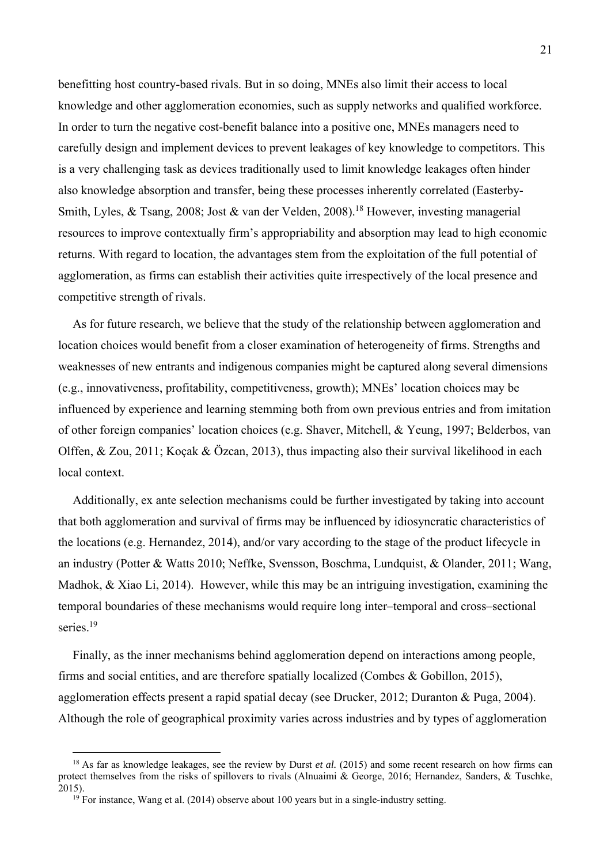benefitting host country-based rivals. But in so doing, MNEs also limit their access to local knowledge and other agglomeration economies, such as supply networks and qualified workforce. In order to turn the negative cost-benefit balance into a positive one, MNEs managers need to carefully design and implement devices to prevent leakages of key knowledge to competitors. This is a very challenging task as devices traditionally used to limit knowledge leakages often hinder also knowledge absorption and transfer, being these processes inherently correlated (Easterby-Smith, Lyles, & Tsang, 2008; Jost & van der Velden, 2008).<sup>18</sup> However, investing managerial resources to improve contextually firm's appropriability and absorption may lead to high economic returns. With regard to location, the advantages stem from the exploitation of the full potential of agglomeration, as firms can establish their activities quite irrespectively of the local presence and competitive strength of rivals.

As for future research, we believe that the study of the relationship between agglomeration and location choices would benefit from a closer examination of heterogeneity of firms. Strengths and weaknesses of new entrants and indigenous companies might be captured along several dimensions (e.g., innovativeness, profitability, competitiveness, growth); MNEs' location choices may be influenced by experience and learning stemming both from own previous entries and from imitation of other foreign companies' location choices (e.g. Shaver, Mitchell, & Yeung, 1997; Belderbos, van Olffen, & Zou, 2011; Koçak & Özcan, 2013), thus impacting also their survival likelihood in each local context.

Additionally, ex ante selection mechanisms could be further investigated by taking into account that both agglomeration and survival of firms may be influenced by idiosyncratic characteristics of the locations (e.g. Hernandez, 2014), and/or vary according to the stage of the product lifecycle in an industry (Potter & Watts 2010; Neffke, Svensson, Boschma, Lundquist, & Olander, 2011; Wang, Madhok, & Xiao Li, 2014). However, while this may be an intriguing investigation, examining the temporal boundaries of these mechanisms would require long inter–temporal and cross–sectional series.<sup>19</sup>

Finally, as the inner mechanisms behind agglomeration depend on interactions among people, firms and social entities, and are therefore spatially localized (Combes & Gobillon, 2015), agglomeration effects present a rapid spatial decay (see Drucker, 2012; Duranton & Puga, 2004). Although the role of geographical proximity varies across industries and by types of agglomeration

1

<sup>&</sup>lt;sup>18</sup> As far as knowledge leakages, see the review by Durst *et al.* (2015) and some recent research on how firms can protect themselves from the risks of spillovers to rivals (Alnuaimi & George, 2016; Hernandez, Sanders, & Tuschke,  $2015$ ).

 $19$  For instance, Wang et al. (2014) observe about 100 years but in a single-industry setting.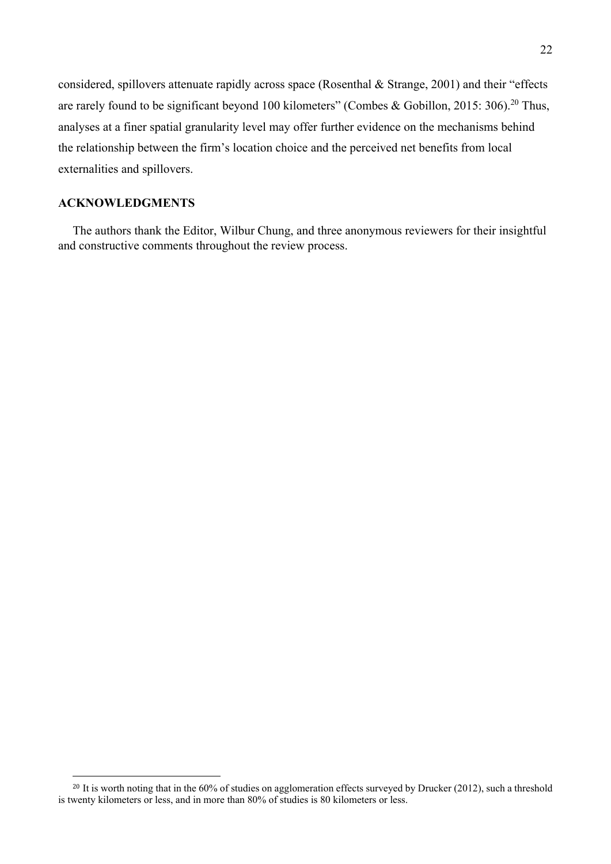considered, spillovers attenuate rapidly across space (Rosenthal & Strange, 2001) and their "effects are rarely found to be significant beyond 100 kilometers" (Combes & Gobillon, 2015: 306).<sup>20</sup> Thus, analyses at a finer spatial granularity level may offer further evidence on the mechanisms behind the relationship between the firm's location choice and the perceived net benefits from local externalities and spillovers.

# **ACKNOWLEDGMENTS**

1

The authors thank the Editor, Wilbur Chung, and three anonymous reviewers for their insightful and constructive comments throughout the review process.

<sup>&</sup>lt;sup>20</sup> It is worth noting that in the 60% of studies on agglomeration effects surveyed by Drucker (2012), such a threshold is twenty kilometers or less, and in more than 80% of studies is 80 kilometers or less.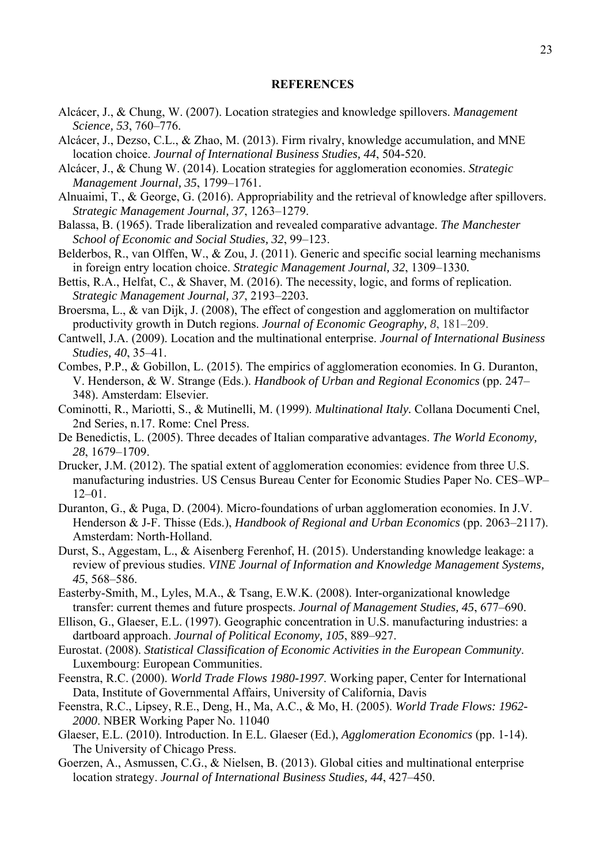## **REFERENCES**

- Alcácer, J., & Chung, W. (2007). Location strategies and knowledge spillovers. *Management Science, 53*, 760–776.
- Alcácer, J., Dezso, C.L., & Zhao, M. (2013). Firm rivalry, knowledge accumulation, and MNE location choice. *Journal of International Business Studies, 44*, 504-520.
- Alcácer, J., & Chung W. (2014). Location strategies for agglomeration economies. *Strategic Management Journal, 35*, 1799–1761.
- Alnuaimi, T., & George, G. (2016). Appropriability and the retrieval of knowledge after spillovers. *Strategic Management Journal, 37*, 1263–1279.
- Balassa, B. (1965). Trade liberalization and revealed comparative advantage. *The Manchester School of Economic and Social Studies, 32*, 99–123.
- Belderbos, R., van Olffen, W., & Zou, J. (2011). Generic and specific social learning mechanisms in foreign entry location choice. *Strategic Management Journal, 32*, 1309–1330*.*
- Bettis, R.A., Helfat, C., & Shaver, M. (2016). The necessity, logic, and forms of replication. *Strategic Management Journal, 37*, 2193–2203*.*
- Broersma, L., & van Dijk, J. (2008), The effect of congestion and agglomeration on multifactor productivity growth in Dutch regions. *Journal of Economic Geography, 8*, 181–209.
- Cantwell, J.A. (2009). Location and the multinational enterprise. *Journal of International Business Studies, 40*, 35–41.
- Combes, P.P., & Gobillon, L. (2015). The empirics of agglomeration economies. In G. Duranton, V. Henderson, & W. Strange (Eds.). *Handbook of Urban and Regional Economics* (pp. 247– 348). Amsterdam: Elsevier.
- Cominotti, R., Mariotti, S., & Mutinelli, M. (1999). *Multinational Italy.* Collana Documenti Cnel, 2nd Series, n.17. Rome: Cnel Press.
- De Benedictis, L. (2005). Three decades of Italian comparative advantages. *The World Economy, 28*, 1679–1709.
- Drucker, J.M. (2012). The spatial extent of agglomeration economies: evidence from three U.S. manufacturing industries. US Census Bureau Center for Economic Studies Paper No. CES–WP– 12–01.
- Duranton, G., & Puga, D. (2004). Micro-foundations of urban agglomeration economies. In J.V. Henderson & J-F. Thisse (Eds.), *Handbook of Regional and Urban Economics* (pp. 2063–2117). Amsterdam: North-Holland.
- Durst, S., Aggestam, L., & Aisenberg Ferenhof, H. (2015). Understanding knowledge leakage: a review of previous studies. *VINE Journal of Information and Knowledge Management Systems, 45*, 568–586.
- Easterby-Smith, M., Lyles, M.A., & Tsang, E.W.K. (2008). Inter-organizational knowledge transfer: current themes and future prospects. *Journal of Management Studies, 45*, 677–690.
- Ellison, G., Glaeser, E.L. (1997). Geographic concentration in U.S. manufacturing industries: a dartboard approach. *Journal of Political Economy, 105*, 889–927.
- Eurostat. (2008). *Statistical Classification of Economic Activities in the European Community*. Luxembourg: European Communities.
- Feenstra, R.C. (2000). *World Trade Flows 1980-1997*. Working paper, Center for International Data, Institute of Governmental Affairs, University of California, Davis
- Feenstra, R.C., Lipsey, R.E., Deng, H., Ma, A.C., & Mo, H. (2005). *World Trade Flows: 1962- 2000*. NBER Working Paper No. 11040
- Glaeser, E.L. (2010). Introduction. In E.L. Glaeser (Ed.), *Agglomeration Economics* (pp. 1-14). The University of Chicago Press.
- Goerzen, A., Asmussen, C.G., & Nielsen, B. (2013). Global cities and multinational enterprise location strategy. *Journal of International Business Studies, 44*, 427–450.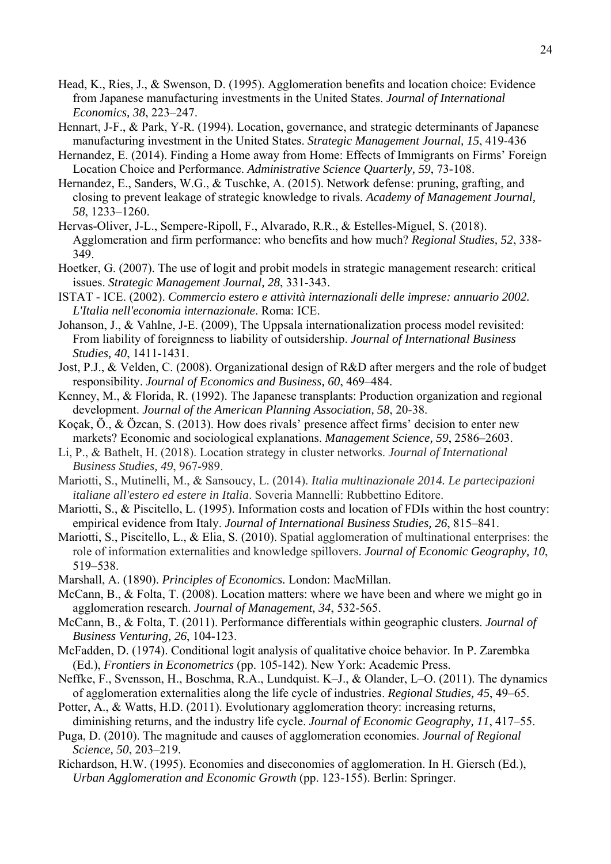- Head, K., Ries, J., & Swenson, D. (1995). Agglomeration benefits and location choice: Evidence from Japanese manufacturing investments in the United States. *Journal of International Economics, 38*, 223–247.
- Hennart, J-F., & Park, Y-R. (1994). Location, governance, and strategic determinants of Japanese manufacturing investment in the United States. *Strategic Management Journal, 15*, 419-436
- Hernandez, E. (2014). Finding a Home away from Home: Effects of Immigrants on Firms' Foreign Location Choice and Performance. *Administrative Science Quarterly, 59*, 73-108.
- Hernandez, E., Sanders, W.G., & Tuschke, A. (2015). Network defense: pruning, grafting, and closing to prevent leakage of strategic knowledge to rivals. *Academy of Management Journal, 58*, 1233–1260.
- Hervas-Oliver, J-L., Sempere-Ripoll, F., Alvarado, R.R., & Estelles-Miguel, S. (2018). Agglomeration and firm performance: who benefits and how much? *Regional Studies, 52*, 338- 349.
- Hoetker, G. (2007). The use of logit and probit models in strategic management research: critical issues. *Strategic Management Journal, 28*, 331-343.
- ISTAT ICE. (2002). *Commercio estero e attività internazionali delle imprese: annuario 2002. L'Italia nell'economia internazionale*. Roma: ICE.
- Johanson, J., & Vahlne, J-E. (2009), The Uppsala internationalization process model revisited: From liability of foreignness to liability of outsidership. *Journal of International Business Studies, 40*, 1411-1431.
- Jost, P.J., & Velden, C. (2008). Organizational design of R&D after mergers and the role of budget responsibility. *Journal of Economics and Business, 60*, 469–484.
- Kenney, M., & Florida, R. (1992). The Japanese transplants: Production organization and regional development. *Journal of the American Planning Association, 58*, 20-38.
- Koçak, Ö., & Özcan, S. (2013). How does rivals' presence affect firms' decision to enter new markets? Economic and sociological explanations. *Management Science, 59*, 2586–2603.
- Li, P., & Bathelt, H. (2018). Location strategy in cluster networks. *Journal of International Business Studies, 49*, 967-989.
- Mariotti, S., Mutinelli, M., & Sansoucy, L. (2014). *Italia multinazionale 2014. Le partecipazioni italiane all'estero ed estere in Italia*. Soveria Mannelli: Rubbettino Editore.
- Mariotti, S., & Piscitello, L. (1995). Information costs and location of FDIs within the host country: empirical evidence from Italy. *Journal of International Business Studies, 26*, 815–841.
- Mariotti, S., Piscitello, L., & Elia, S. (2010). Spatial agglomeration of multinational enterprises: the role of information externalities and knowledge spillovers. *Journal of Economic Geography, 10*, 519–538.
- Marshall, A. (1890). *Principles of Economics.* London: MacMillan.
- McCann, B., & Folta, T. (2008). Location matters: where we have been and where we might go in agglomeration research. *Journal of Management, 34*, 532-565.
- McCann, B., & Folta, T. (2011). Performance differentials within geographic clusters. *Journal of Business Venturing, 26*, 104-123.
- McFadden, D. (1974). Conditional logit analysis of qualitative choice behavior. In P. Zarembka (Ed.), *Frontiers in Econometrics* (pp. 105-142). New York: Academic Press.
- Neffke, F., Svensson, H., Boschma, R.A., Lundquist. K–J., & Olander, L–O. (2011). The dynamics of agglomeration externalities along the life cycle of industries. *Regional Studies, 45*, 49–65.
- Potter, A., & Watts, H.D. (2011). Evolutionary agglomeration theory: increasing returns,
- diminishing returns, and the industry life cycle. *Journal of Economic Geography, 11*, 417–55. Puga, D. (2010). The magnitude and causes of agglomeration economies. *Journal of Regional*
- *Science, 50*, 203–219.
- Richardson, H.W. (1995). Economies and diseconomies of agglomeration. In H. Giersch (Ed.), *Urban Agglomeration and Economic Growth* (pp. 123-155). Berlin: Springer.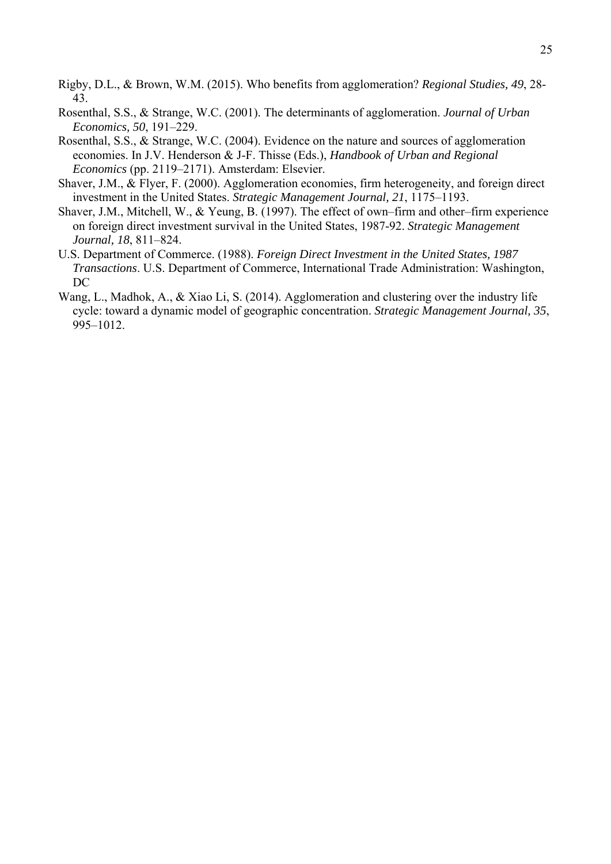- Rigby, D.L., & Brown, W.M. (2015). Who benefits from agglomeration? *Regional Studies, 49*, 28- 43.
- Rosenthal, S.S., & Strange, W.C. (2001). The determinants of agglomeration. *Journal of Urban Economics, 50*, 191–229.
- Rosenthal, S.S., & Strange, W.C. (2004). Evidence on the nature and sources of agglomeration economies. In J.V. Henderson & J-F. Thisse (Eds.), *Handbook of Urban and Regional Economics* (pp. 2119–2171). Amsterdam: Elsevier.
- Shaver, J.M., & Flyer, F. (2000). Agglomeration economies, firm heterogeneity, and foreign direct investment in the United States. *Strategic Management Journal, 21*, 1175–1193.
- Shaver, J.M., Mitchell, W., & Yeung, B. (1997). The effect of own–firm and other–firm experience on foreign direct investment survival in the United States, 1987-92. *Strategic Management Journal, 18*, 811–824.
- U.S. Department of Commerce. (1988). *Foreign Direct Investment in the United States, 1987 Transactions*. U.S. Department of Commerce, International Trade Administration: Washington, DC
- Wang, L., Madhok, A., & Xiao Li, S. (2014). Agglomeration and clustering over the industry life cycle: toward a dynamic model of geographic concentration. *Strategic Management Journal, 35*, 995–1012.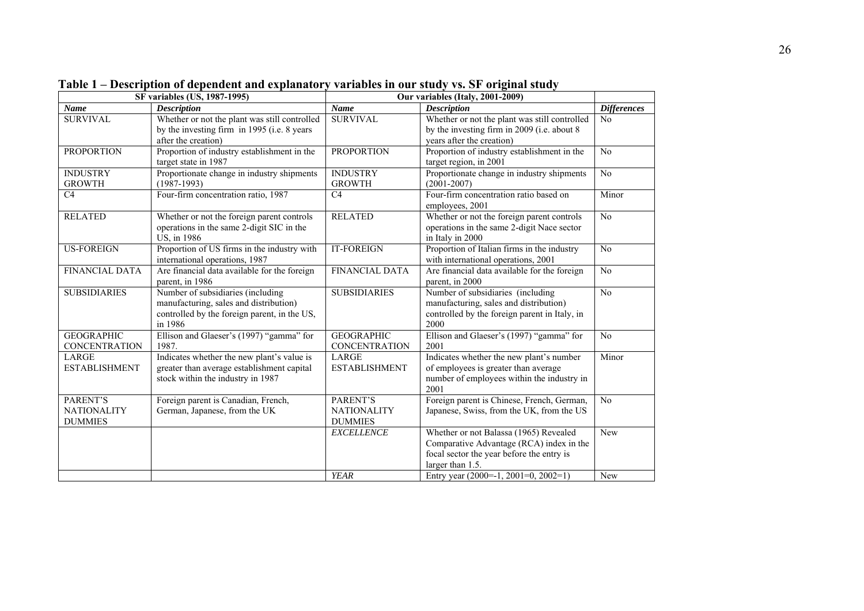|                                                  | SF variables (US, 1987-1995)                                                                                                           |                                                  | Our variables (Italy, 2001-2009)                                                                                                                    |                    |  |
|--------------------------------------------------|----------------------------------------------------------------------------------------------------------------------------------------|--------------------------------------------------|-----------------------------------------------------------------------------------------------------------------------------------------------------|--------------------|--|
| <b>Name</b>                                      | <b>Description</b>                                                                                                                     | <b>Name</b>                                      | <b>Description</b>                                                                                                                                  | <b>Differences</b> |  |
| <b>SURVIVAL</b>                                  | Whether or not the plant was still controlled<br>by the investing firm in 1995 (i.e. 8 years<br>after the creation)                    | <b>SURVIVAL</b>                                  | Whether or not the plant was still controlled<br>by the investing firm in 2009 (i.e. about 8<br>years after the creation)                           | No                 |  |
| <b>PROPORTION</b>                                | Proportion of industry establishment in the<br>target state in 1987                                                                    | <b>PROPORTION</b>                                | Proportion of industry establishment in the<br>target region, in 2001                                                                               | No                 |  |
| <b>INDUSTRY</b><br><b>GROWTH</b>                 | Proportionate change in industry shipments<br>$(1987-1993)$                                                                            | <b>INDUSTRY</b><br><b>GROWTH</b>                 | Proportionate change in industry shipments<br>$(2001 - 2007)$                                                                                       | No                 |  |
| C <sub>4</sub>                                   | Four-firm concentration ratio, 1987                                                                                                    | C <sub>4</sub>                                   | Four-firm concentration ratio based on<br>employees, 2001                                                                                           | Minor              |  |
| <b>RELATED</b>                                   | Whether or not the foreign parent controls<br>operations in the same 2-digit SIC in the<br>US, in 1986                                 | <b>RELATED</b>                                   | Whether or not the foreign parent controls<br>operations in the same 2-digit Nace sector<br>in Italy in 2000                                        | N <sub>o</sub>     |  |
| <b>US-FOREIGN</b>                                | Proportion of US firms in the industry with<br>international operations, 1987                                                          | <b>IT-FOREIGN</b>                                | Proportion of Italian firms in the industry<br>with international operations, 2001                                                                  | No                 |  |
| <b>FINANCIAL DATA</b>                            | Are financial data available for the foreign<br>parent, in 1986                                                                        | <b>FINANCIAL DATA</b>                            | Are financial data available for the foreign<br>parent, in 2000                                                                                     | No                 |  |
| <b>SUBSIDIARIES</b>                              | Number of subsidiaries (including<br>manufacturing, sales and distribution)<br>controlled by the foreign parent, in the US,<br>in 1986 | <b>SUBSIDIARIES</b>                              | Number of subsidiaries (including<br>manufacturing, sales and distribution)<br>controlled by the foreign parent in Italy, in<br>2000                | No                 |  |
| <b>GEOGRAPHIC</b><br><b>CONCENTRATION</b>        | Ellison and Glaeser's (1997) "gamma" for<br>1987.                                                                                      | <b>GEOGRAPHIC</b><br><b>CONCENTRATION</b>        | Ellison and Glaeser's (1997) "gamma" for<br>2001                                                                                                    | No                 |  |
| LARGE<br><b>ESTABLISHMENT</b>                    | Indicates whether the new plant's value is<br>greater than average establishment capital<br>stock within the industry in 1987          | <b>LARGE</b><br><b>ESTABLISHMENT</b>             | Indicates whether the new plant's number<br>of employees is greater than average<br>number of employees within the industry in<br>2001              | Minor              |  |
| PARENT'S<br><b>NATIONALITY</b><br><b>DUMMIES</b> | Foreign parent is Canadian, French,<br>German, Japanese, from the UK                                                                   | PARENT'S<br><b>NATIONALITY</b><br><b>DUMMIES</b> | Foreign parent is Chinese, French, German,<br>Japanese, Swiss, from the UK, from the US                                                             | N <sub>o</sub>     |  |
|                                                  |                                                                                                                                        | <b>EXCELLENCE</b>                                | Whether or not Balassa (1965) Revealed<br>Comparative Advantage (RCA) index in the<br>focal sector the year before the entry is<br>larger than 1.5. | <b>New</b>         |  |
|                                                  |                                                                                                                                        | <b>YEAR</b>                                      | Entry year (2000=-1, 2001=0, 2002=1)                                                                                                                | <b>New</b>         |  |

**Table 1 – Description of dependent and explanatory variables in our study vs. SF original study**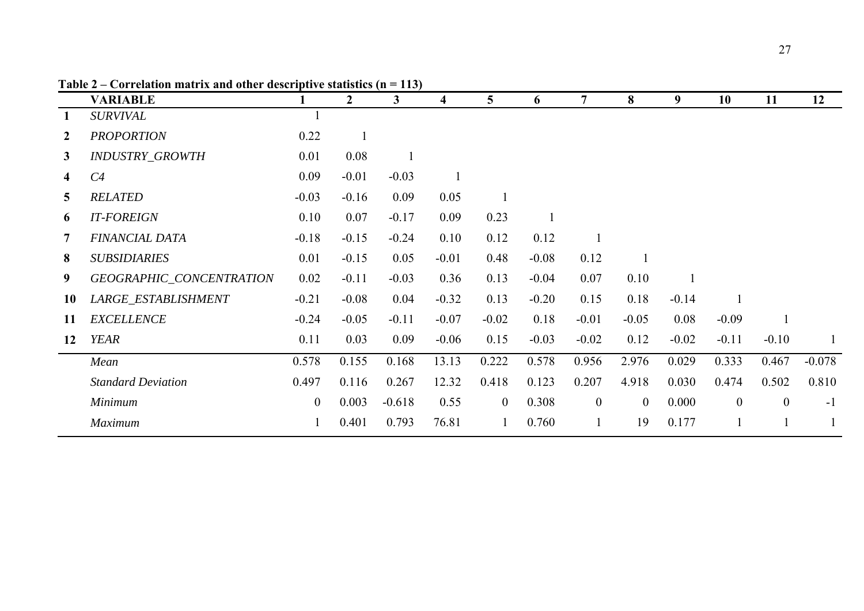|                         | <b>VARIABLE</b>           |                | $\mathbf{2}$ | $\mathbf{3}$ | $\overline{\mathbf{4}}$ | 5              | 6       | $\overline{7}$ | 8                | 9            | 10           | 11               | 12       |
|-------------------------|---------------------------|----------------|--------------|--------------|-------------------------|----------------|---------|----------------|------------------|--------------|--------------|------------------|----------|
| $\mathbf{1}$            | <b>SURVIVAL</b>           |                |              |              |                         |                |         |                |                  |              |              |                  |          |
| $\overline{2}$          | <b>PROPORTION</b>         | 0.22           | $\perp$      |              |                         |                |         |                |                  |              |              |                  |          |
| 3 <sup>1</sup>          | <b>INDUSTRY_GROWTH</b>    | 0.01           | 0.08         |              |                         |                |         |                |                  |              |              |                  |          |
| $\overline{\mathbf{4}}$ | C4                        | 0.09           | $-0.01$      | $-0.03$      |                         |                |         |                |                  |              |              |                  |          |
| 5                       | <b>RELATED</b>            | $-0.03$        | $-0.16$      | 0.09         | 0.05                    |                |         |                |                  |              |              |                  |          |
| 6                       | <b>IT-FOREIGN</b>         | 0.10           | 0.07         | $-0.17$      | 0.09                    | 0.23           |         |                |                  |              |              |                  |          |
| 7                       | <b>FINANCIAL DATA</b>     | $-0.18$        | $-0.15$      | $-0.24$      | 0.10                    | 0.12           | 0.12    | $\mathbf{1}$   |                  |              |              |                  |          |
| 8                       | <b>SUBSIDIARIES</b>       | 0.01           | $-0.15$      | 0.05         | $-0.01$                 | 0.48           | $-0.08$ | 0.12           |                  |              |              |                  |          |
| 9                       | GEOGRAPHIC_CONCENTRATION  | 0.02           | $-0.11$      | $-0.03$      | 0.36                    | 0.13           | $-0.04$ | 0.07           | 0.10             | $\mathbf{1}$ |              |                  |          |
| 10                      | LARGE_ESTABLISHMENT       | $-0.21$        | $-0.08$      | 0.04         | $-0.32$                 | 0.13           | $-0.20$ | 0.15           | 0.18             | $-0.14$      |              |                  |          |
| 11                      | <b>EXCELLENCE</b>         | $-0.24$        | $-0.05$      | $-0.11$      | $-0.07$                 | $-0.02$        | 0.18    | $-0.01$        | $-0.05$          | 0.08         | $-0.09$      | $\mathbf{1}$     |          |
| 12                      | <b>YEAR</b>               | 0.11           | 0.03         | 0.09         | $-0.06$                 | 0.15           | $-0.03$ | $-0.02$        | 0.12             | $-0.02$      | $-0.11$      | $-0.10$          |          |
|                         | Mean                      | 0.578          | 0.155        | 0.168        | 13.13                   | 0.222          | 0.578   | 0.956          | 2.976            | 0.029        | 0.333        | 0.467            | $-0.078$ |
|                         | <b>Standard Deviation</b> | 0.497          | 0.116        | 0.267        | 12.32                   | 0.418          | 0.123   | 0.207          | 4.918            | 0.030        | 0.474        | 0.502            | 0.810    |
|                         | Minimum                   | $\overline{0}$ | 0.003        | $-0.618$     | 0.55                    | $\overline{0}$ | 0.308   | $\overline{0}$ | $\boldsymbol{0}$ | 0.000        | $\mathbf{0}$ | $\boldsymbol{0}$ | $-1$     |
|                         | Maximum                   | 1              | 0.401        | 0.793        | 76.81                   | $\mathbf{1}$   | 0.760   | $\mathbf{1}$   | 19               | 0.177        |              | $\mathbf{1}$     |          |

**Table 2 – Correlation matrix and other descriptive statistics (n = 113)**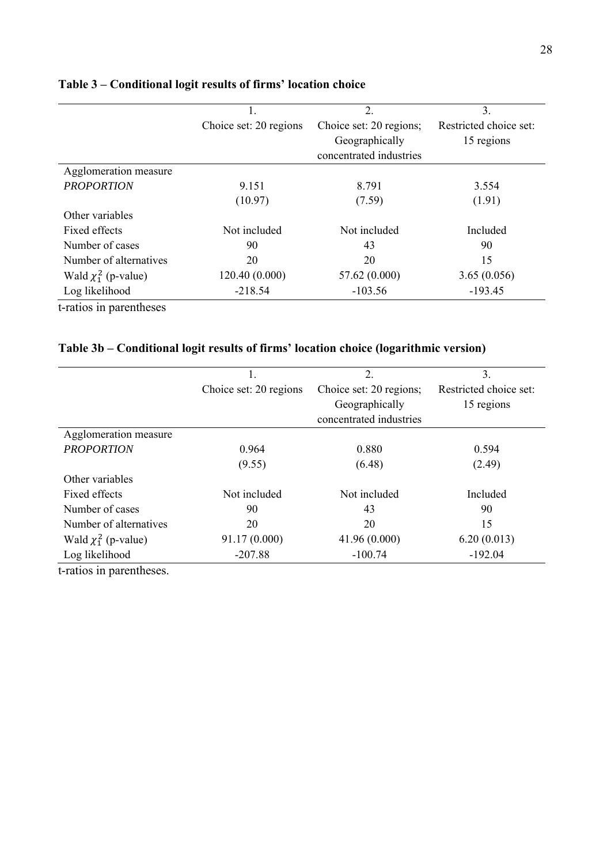|                           |                        | 2.                      | 3.                     |
|---------------------------|------------------------|-------------------------|------------------------|
|                           | Choice set: 20 regions | Choice set: 20 regions; | Restricted choice set: |
|                           |                        | Geographically          | 15 regions             |
|                           |                        | concentrated industries |                        |
| Agglomeration measure     |                        |                         |                        |
| <b>PROPORTION</b>         | 9.151                  | 8.791                   | 3.554                  |
|                           | (10.97)                | (7.59)                  | (1.91)                 |
| Other variables           |                        |                         |                        |
| Fixed effects             | Not included           | Not included            | Included               |
| Number of cases           | 90                     | 43                      | 90                     |
| Number of alternatives    | 20                     | 20                      | 15                     |
| Wald $\chi_1^2$ (p-value) | 120.40 (0.000)         | 57.62 (0.000)           | 3.65(0.056)            |
| Log likelihood            | $-218.54$              | $-103.56$               | $-193.45$              |
|                           |                        |                         |                        |

# **Table 3 – Conditional logit results of firms' location choice**

t-ratios in parentheses

# **Table 3b – Conditional logit results of firms' location choice (logarithmic version)**

|                           |                        | 2.                      | 3.                     |
|---------------------------|------------------------|-------------------------|------------------------|
|                           | Choice set: 20 regions | Choice set: 20 regions; | Restricted choice set: |
|                           |                        | Geographically          | 15 regions             |
|                           |                        | concentrated industries |                        |
| Agglomeration measure     |                        |                         |                        |
| <b>PROPORTION</b>         | 0.964                  | 0.880                   | 0.594                  |
|                           | (9.55)                 | (6.48)                  | (2.49)                 |
| Other variables           |                        |                         |                        |
| Fixed effects             | Not included           | Not included            | <b>Included</b>        |
| Number of cases           | 90                     | 43                      | 90                     |
| Number of alternatives    | 20                     | 20                      | 15                     |
| Wald $\chi_1^2$ (p-value) | 91.17 (0.000)          | 41.96 (0.000)           | 6.20(0.013)            |
| Log likelihood            | $-207.88$              | $-100.74$               | $-192.04$              |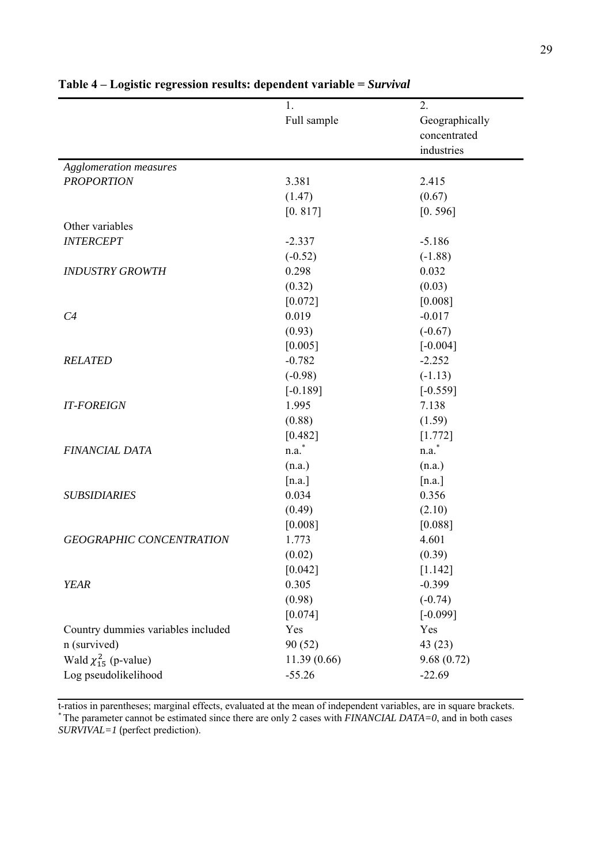|                                    | 1.           | 2.             |
|------------------------------------|--------------|----------------|
|                                    | Full sample  | Geographically |
|                                    |              | concentrated   |
|                                    |              | industries     |
| <b>Agglomeration measures</b>      |              |                |
| <b>PROPORTION</b>                  | 3.381        | 2.415          |
|                                    | (1.47)       | (0.67)         |
|                                    | [0.817]      | [0.596]        |
| Other variables                    |              |                |
| <b>INTERCEPT</b>                   | $-2.337$     | $-5.186$       |
|                                    | $(-0.52)$    | $(-1.88)$      |
| <b>INDUSTRY GROWTH</b>             | 0.298        | 0.032          |
|                                    | (0.32)       | (0.03)         |
|                                    | [0.072]      | [0.008]        |
| C4                                 | 0.019        | $-0.017$       |
|                                    | (0.93)       | $(-0.67)$      |
|                                    | [0.005]      | $[-0.004]$     |
| <b>RELATED</b>                     | $-0.782$     | $-2.252$       |
|                                    | $(-0.98)$    | $(-1.13)$      |
|                                    | $[-0.189]$   | $[-0.559]$     |
| <b>IT-FOREIGN</b>                  | 1.995        | 7.138          |
|                                    | (0.88)       | (1.59)         |
|                                    | [0.482]      | $[1.772]$      |
| FINANCIAL DATA                     | n.a.         | $n.a.*$        |
|                                    | (n.a.)       | (n.a.)         |
|                                    | [n.a.]       | [n.a.]         |
| <b>SUBSIDIARIES</b>                | 0.034        | 0.356          |
|                                    | (0.49)       | (2.10)         |
|                                    | [0.008]      | [0.088]        |
| <b>GEOGRAPHIC CONCENTRATION</b>    | 1.773        | 4.601          |
|                                    | (0.02)       | (0.39)         |
|                                    | [0.042]      | [1.142]        |
| <b>YEAR</b>                        | 0.305        | $-0.399$       |
|                                    | (0.98)       | $(-0.74)$      |
|                                    | [0.074]      | $[-0.099]$     |
| Country dummies variables included | Yes          | Yes            |
| n (survived)                       | 90(52)       | 43(23)         |
| Wald $\chi_{15}^2$ (p-value)       | 11.39 (0.66) | 9.68(0.72)     |
| Log pseudolikelihood               | $-55.26$     | $-22.69$       |

**Table 4 – Logistic regression results: dependent variable =** *Survival* 

t-ratios in parentheses; marginal effects, evaluated at the mean of independent variables, are in square brackets. \* The parameter cannot be estimated since there are only 2 cases with *FINANCIAL DATA=0*, and in both cases *SURVIVAL=1* (perfect prediction).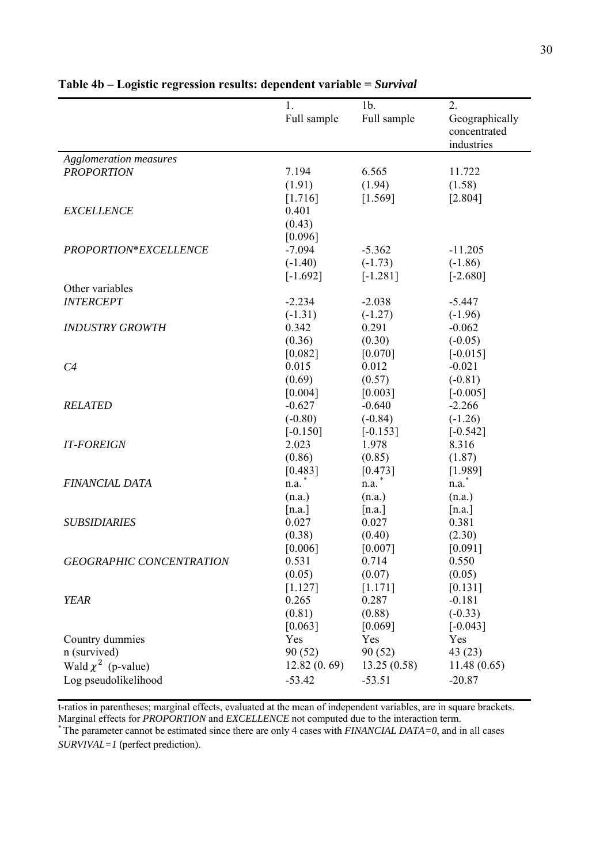|                                 | 1.          | $1b$ .      | 2.                             |
|---------------------------------|-------------|-------------|--------------------------------|
|                                 |             | Full sample |                                |
|                                 | Full sample |             | Geographically<br>concentrated |
|                                 |             |             |                                |
|                                 |             |             | industries                     |
| <b>Agglomeration measures</b>   |             |             |                                |
| <b>PROPORTION</b>               | 7.194       | 6.565       | 11.722                         |
|                                 | (1.91)      | (1.94)      | (1.58)                         |
|                                 | [1.716]     | [1.569]     | [2.804]                        |
| <b>EXCELLENCE</b>               | 0.401       |             |                                |
|                                 | (0.43)      |             |                                |
|                                 | [0.096]     |             |                                |
| PROPORTION*EXCELLENCE           | $-7.094$    | $-5.362$    | $-11.205$                      |
|                                 | $(-1.40)$   | $(-1.73)$   | $(-1.86)$                      |
|                                 | $[-1.692]$  | $[-1.281]$  | $[-2.680]$                     |
| Other variables                 |             |             |                                |
| <b>INTERCEPT</b>                | $-2.234$    | $-2.038$    | $-5.447$                       |
|                                 | $(-1.31)$   | $(-1.27)$   | $(-1.96)$                      |
| <b>INDUSTRY GROWTH</b>          | 0.342       | 0.291       | $-0.062$                       |
|                                 | (0.36)      | (0.30)      | $(-0.05)$                      |
|                                 | [0.082]     | [0.070]     | $[-0.015]$                     |
| C4                              | 0.015       | 0.012       | $-0.021$                       |
|                                 | (0.69)      | (0.57)      | $(-0.81)$                      |
|                                 | [0.004]     | [0.003]     | $[-0.005]$                     |
| <b>RELATED</b>                  | $-0.627$    | $-0.640$    | $-2.266$                       |
|                                 | $(-0.80)$   | $(-0.84)$   | $(-1.26)$                      |
|                                 | $[-0.150]$  | $[-0.153]$  | $[-0.542]$                     |
| <b>IT-FOREIGN</b>               | 2.023       | 1.978       | 8.316                          |
|                                 | (0.86)      | (0.85)      | (1.87)                         |
|                                 | [0.483]     | [0.473]     | [1.989]                        |
| FINANCIAL DATA                  | n.a.        | n.a.        | n.a.                           |
|                                 | (n.a.)      | (n.a.)      | (n.a.)                         |
|                                 | [n.a.]      | [n.a.]      | [n.a.]                         |
| <b>SUBSIDIARIES</b>             | 0.027       | 0.027       | 0.381                          |
|                                 | (0.38)      | (0.40)      | (2.30)                         |
|                                 | [0.006]     | [0.007]     | [0.091]                        |
| <b>GEOGRAPHIC CONCENTRATION</b> | 0.531       | 0.714       | 0.550                          |
|                                 |             |             |                                |
|                                 | (0.05)      | (0.07)      | (0.05)                         |
|                                 | [1.127]     | $[1.171]$   | $[0.131]$                      |
| <b>YEAR</b>                     | 0.265       | 0.287       | $-0.181$                       |
|                                 | (0.81)      | (0.88)      | $(-0.33)$                      |
|                                 | [0.063]     | [0.069]     | $[-0.043]$                     |
| Country dummies                 | Yes         | Yes         | Yes                            |
| n (survived)                    | 90(52)      | 90(52)      | 43 (23)                        |
| Wald $\chi^2$ (p-value)         | 12.82(0.69) | 13.25(0.58) | 11.48(0.65)                    |
| Log pseudolikelihood            | $-53.42$    | $-53.51$    | $-20.87$                       |

**Table 4b – Logistic regression results: dependent variable =** *Survival* 

t-ratios in parentheses; marginal effects, evaluated at the mean of independent variables, are in square brackets. Marginal effects for *PROPORTION* and *EXCELLENCE* not computed due to the interaction term.

\* The parameter cannot be estimated since there are only 4 cases with *FINANCIAL DATA=0*, and in all cases *SURVIVAL=1* (perfect prediction).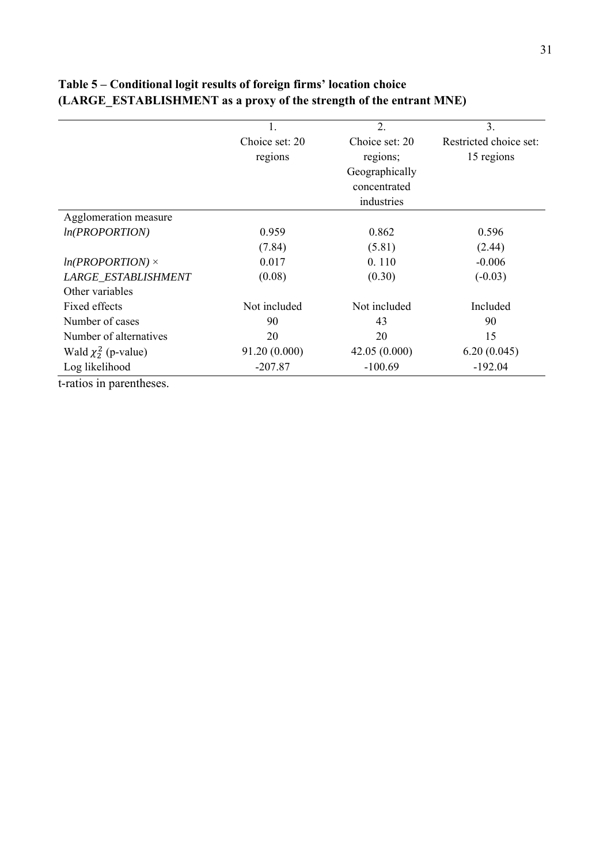|                          |                | 2.             | $\overline{3}$ .       |
|--------------------------|----------------|----------------|------------------------|
|                          | Choice set: 20 | Choice set: 20 | Restricted choice set: |
|                          | regions        | regions;       | 15 regions             |
|                          |                | Geographically |                        |
|                          |                | concentrated   |                        |
|                          |                | industries     |                        |
| Agglomeration measure    |                |                |                        |
| ln(PROPORTION)           | 0.959          | 0.862          | 0.596                  |
|                          | (7.84)         | (5.81)         | (2.44)                 |
| $ln(PROPORTION)$ ×       | 0.017          | 0.110          | $-0.006$               |
| LARGE ESTABLISHMENT      | (0.08)         | (0.30)         | $(-0.03)$              |
| Other variables          |                |                |                        |
| Fixed effects            | Not included   | Not included   | Included               |
| Number of cases          | 90             | 43             | 90                     |
| Number of alternatives   | 20             | 20             | 15                     |
| Wald $\chi^2$ (p-value)  | 91.20 (0.000)  | 42.05(0.000)   | 6.20(0.045)            |
| Log likelihood           | $-207.87$      | $-100.69$      | $-192.04$              |
| t-ratios in parentheses. |                |                |                        |

# **Table 5 – Conditional logit results of foreign firms' location choice (LARGE\_ESTABLISHMENT as a proxy of the strength of the entrant MNE)**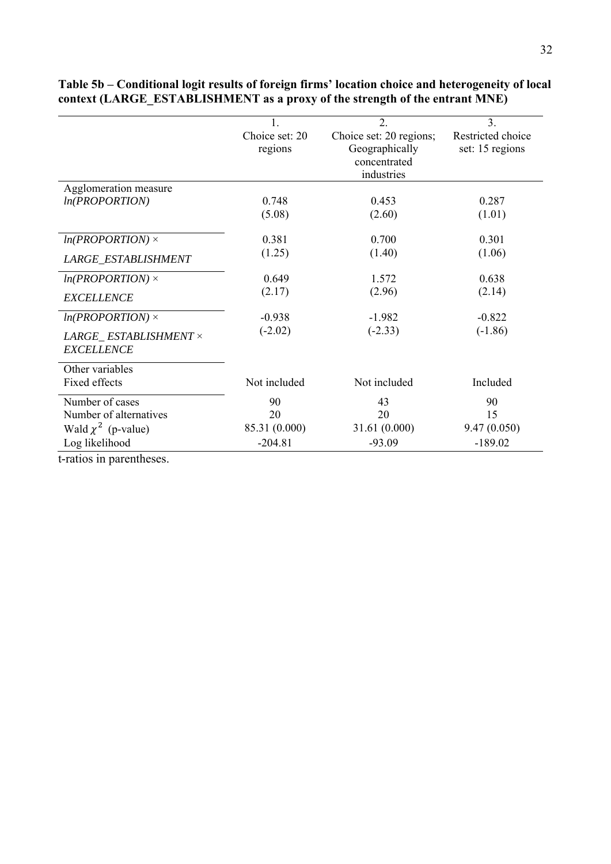|                                            |                | 2.                      | 3.                |
|--------------------------------------------|----------------|-------------------------|-------------------|
|                                            | Choice set: 20 | Choice set: 20 regions; | Restricted choice |
|                                            | regions        | Geographically          | set: 15 regions   |
|                                            |                | concentrated            |                   |
|                                            |                | industries              |                   |
| Agglomeration measure                      |                |                         |                   |
| In(PROPORTION)                             | 0.748          | 0.453                   | 0.287             |
|                                            | (5.08)         | (2.60)                  | (1.01)            |
| $ln(PROPORTION)$ ×                         | 0.381          | 0.700                   | 0.301             |
| LARGE_ESTABLISHMENT                        | (1.25)         | (1.40)                  | (1.06)            |
| $ln(PROPORTION)$ ×                         | 0.649          | 1.572                   | 0.638             |
| <b>EXCELLENCE</b>                          | (2.17)         | (2.96)                  | (2.14)            |
| $ln(PROPORTION)$ ×                         | $-0.938$       | $-1.982$                | $-0.822$          |
| LARGE_ESTABLISHMENT ×<br><b>EXCELLENCE</b> | $(-2.02)$      | $(-2.33)$               | $(-1.86)$         |
| Other variables                            |                |                         |                   |
| Fixed effects                              | Not included   | Not included            | Included          |
| Number of cases                            | 90             | 43                      | 90                |
| Number of alternatives                     | 20             | 20                      | 15                |
| Wald $\chi^2$ (p-value)                    | 85.31 (0.000)  | 31.61 (0.000)           | 9.47(0.050)       |
| Log likelihood                             | $-204.81$      | $-93.09$                | $-189.02$         |

**Table 5b – Conditional logit results of foreign firms' location choice and heterogeneity of local context (LARGE\_ESTABLISHMENT as a proxy of the strength of the entrant MNE)**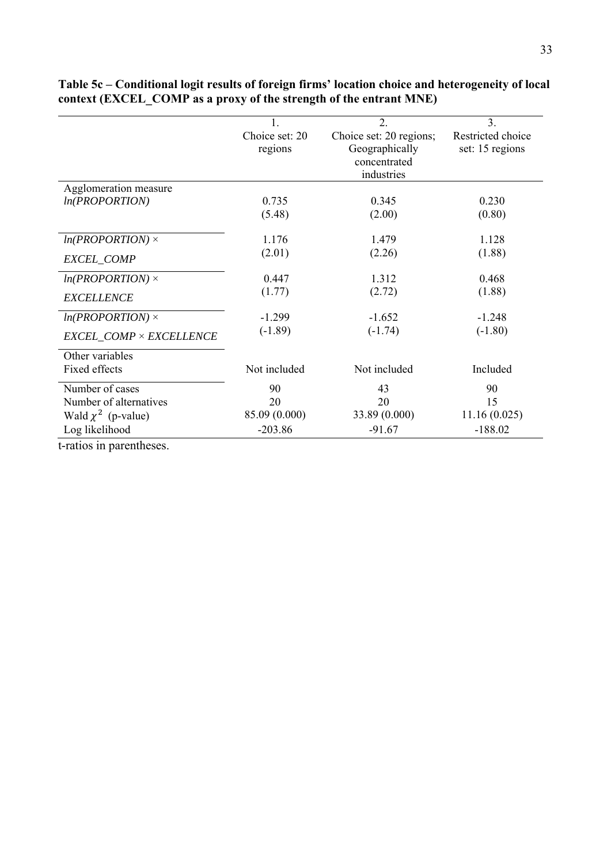|                         | 1.             | 2.                      | $\overline{3}$ .  |
|-------------------------|----------------|-------------------------|-------------------|
|                         | Choice set: 20 | Choice set: 20 regions; | Restricted choice |
|                         | regions        | Geographically          | set: 15 regions   |
|                         |                | concentrated            |                   |
|                         |                | industries              |                   |
| Agglomeration measure   |                |                         |                   |
| In(PROPORTION)          | 0.735          | 0.345                   | 0.230             |
|                         | (5.48)         | (2.00)                  | (0.80)            |
| $ln(PROPORTION)$ ×      | 1.176          | 1.479                   | 1.128             |
| EXCEL_COMP              | (2.01)         | (2.26)                  | (1.88)            |
|                         |                |                         |                   |
| $ln(PROPORTION)$ ×      | 0.447          | 1.312                   | 0.468             |
| <b>EXCELLENCE</b>       | (1.77)         | (2.72)                  | (1.88)            |
| $ln(PROPORTION)$ ×      | $-1.299$       | $-1.652$                | $-1.248$          |
| EXCEL_COMP × EXCELLENCE | $(-1.89)$      | $(-1.74)$               | $(-1.80)$         |
| Other variables         |                |                         |                   |
| Fixed effects           | Not included   | Not included            | Included          |
| Number of cases         | 90             | 43                      | 90                |
| Number of alternatives  | 20             | 20                      | 15                |
| Wald $\chi^2$ (p-value) | 85.09 (0.000)  | 33.89 (0.000)           | 11.16(0.025)      |
| Log likelihood          | $-203.86$      | $-91.67$                | $-188.02$         |

**Table 5c – Conditional logit results of foreign firms' location choice and heterogeneity of local context (EXCEL\_COMP as a proxy of the strength of the entrant MNE)**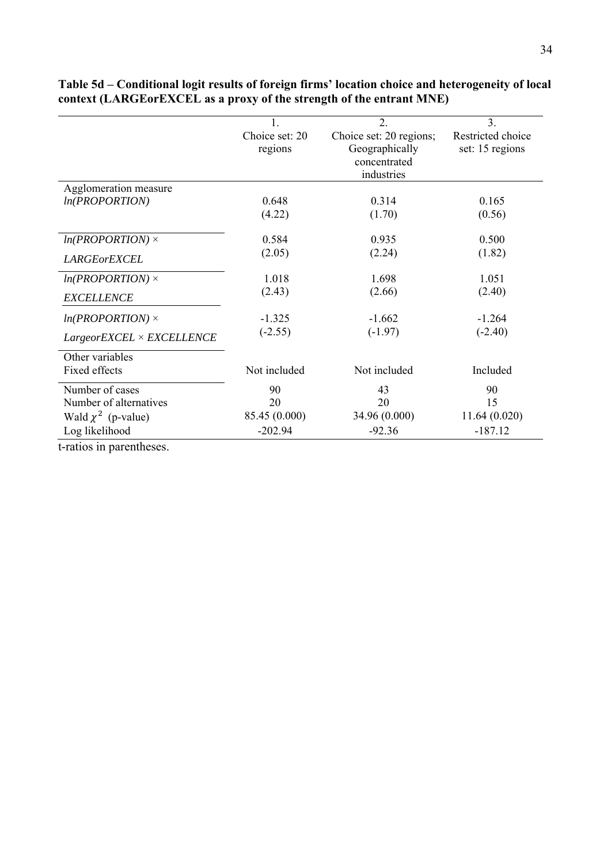|                                   | 1.             | 2.                      | 3.                |
|-----------------------------------|----------------|-------------------------|-------------------|
|                                   | Choice set: 20 | Choice set: 20 regions; | Restricted choice |
|                                   | regions        | Geographically          | set: 15 regions   |
|                                   |                | concentrated            |                   |
|                                   |                | industries              |                   |
| Agglomeration measure             |                |                         |                   |
| ln(PROPORTION)                    | 0.648          | 0.314                   | 0.165             |
|                                   | (4.22)         | (1.70)                  | (0.56)            |
| $ln(PROPORTION)$ ×                | 0.584          | 0.935                   | 0.500             |
| <b>LARGEorEXCEL</b>               | (2.05)         | (2.24)                  | (1.82)            |
|                                   |                |                         |                   |
| $ln(PROPORTION)$ ×                | 1.018          | 1.698                   | 1.051             |
| <b>EXCELLENCE</b>                 | (2.43)         | (2.66)                  | (2.40)            |
| $ln(PROPORTION)$ ×                | $-1.325$       | $-1.662$                | $-1.264$          |
| $Largeor EXCEL \times EXCELLENCE$ | $(-2.55)$      | $(-1.97)$               | $(-2.40)$         |
| Other variables                   |                |                         |                   |
| Fixed effects                     | Not included   | Not included            | Included          |
| Number of cases                   | 90             | 43                      | 90                |
| Number of alternatives            | 20             | 20                      | 15                |
| Wald $\chi^2$ (p-value)           | 85.45 (0.000)  | 34.96 (0.000)           | 11.64(0.020)      |
| Log likelihood                    | $-202.94$      | $-92.36$                | $-187.12$         |

**Table 5d – Conditional logit results of foreign firms' location choice and heterogeneity of local context (LARGEorEXCEL as a proxy of the strength of the entrant MNE)**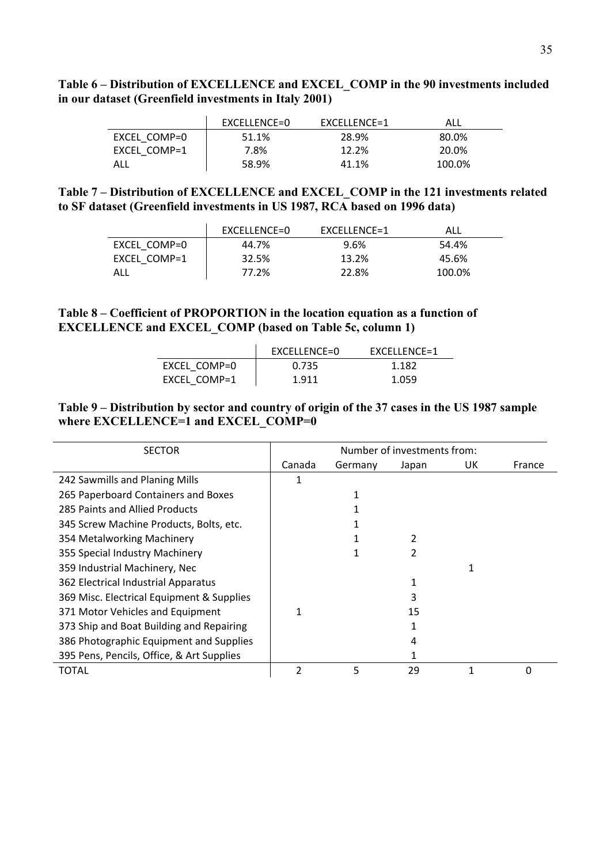# **Table 6 – Distribution of EXCELLENCE and EXCEL\_COMP in the 90 investments included in our dataset (Greenfield investments in Italy 2001)**

|              | EXCELLENCE=0 | EXCELLENCE=1 | ALL    |
|--------------|--------------|--------------|--------|
| EXCEL COMP=0 | 51.1%        | 28.9%        | 80.0%  |
| EXCEL COMP=1 | 7.8%         | 12.2%        | 20.0%  |
| ALL          | 58.9%        | 41.1%        | 100.0% |

# **Table 7 – Distribution of EXCELLENCE and EXCEL\_COMP in the 121 investments related to SF dataset (Greenfield investments in US 1987, RCA based on 1996 data)**

|              | EXCELLENCE=0 | EXCELLENCE=1 | ALI    |
|--------------|--------------|--------------|--------|
| EXCEL COMP=0 | 44.7%        | 9.6%         | 54.4%  |
| EXCEL COMP=1 | 32.5%        | 13.2%        | 45.6%  |
| ALL          | 77.2%        | 22.8%        | 100.0% |

# **Table 8 – Coefficient of PROPORTION in the location equation as a function of EXCELLENCE and EXCEL\_COMP (based on Table 5c, column 1)**

|              | EXCELLENCE=0 | EXCELLENCE=1 |
|--------------|--------------|--------------|
| EXCEL COMP=0 | 0.735        | 1.182        |
| EXCEL COMP=1 | 1.911        | 1.059        |

# **Table 9 – Distribution by sector and country of origin of the 37 cases in the US 1987 sample where EXCELLENCE=1 and EXCEL\_COMP=0**

| <b>SECTOR</b>                             | Number of investments from: |         |       |     |        |
|-------------------------------------------|-----------------------------|---------|-------|-----|--------|
|                                           | Canada                      | Germany | Japan | UK. | France |
| 242 Sawmills and Planing Mills            | 1                           |         |       |     |        |
| 265 Paperboard Containers and Boxes       |                             |         |       |     |        |
| 285 Paints and Allied Products            |                             |         |       |     |        |
| 345 Screw Machine Products, Bolts, etc.   |                             |         |       |     |        |
| 354 Metalworking Machinery                |                             |         | 2     |     |        |
| 355 Special Industry Machinery            |                             |         | 2     |     |        |
| 359 Industrial Machinery, Nec             |                             |         |       |     |        |
| 362 Electrical Industrial Apparatus       |                             |         |       |     |        |
| 369 Misc. Electrical Equipment & Supplies |                             |         |       |     |        |
| 371 Motor Vehicles and Equipment          |                             |         | 15    |     |        |
| 373 Ship and Boat Building and Repairing  |                             |         |       |     |        |
| 386 Photographic Equipment and Supplies   |                             |         |       |     |        |
| 395 Pens, Pencils, Office, & Art Supplies |                             |         |       |     |        |
| <b>TOTAL</b>                              | 2                           | 5       | 29    |     | O      |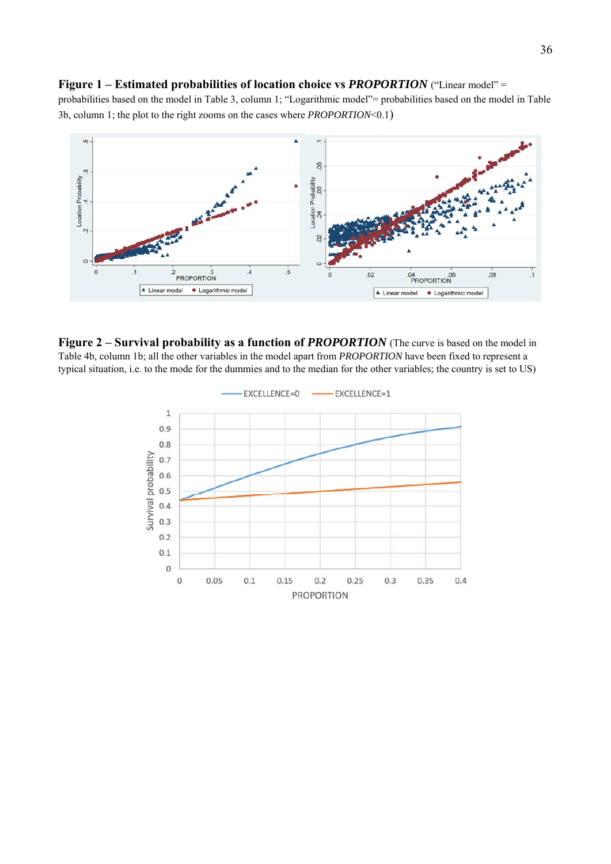# **Figure 1 – Estimated probabilities of location choice vs** *PROPORTION* ("Linear model" =

probabilities based on the model in Table 3, column 1; "Logarithmic model"= probabilities based on the model in Table 3b, column 1; the plot to the right zooms on the cases where *PROPORTION*<0.1)



**Figure 2 – Survival probability as a function of** *PROPORTION* (The curve is based on the model in Table 4b, column 1b; all the other variables in the model apart from *PROPORTION* have been fixed to represent a typical situation, i.e. to the mode for the dummies and to the median for the other variables; the country is set to US)

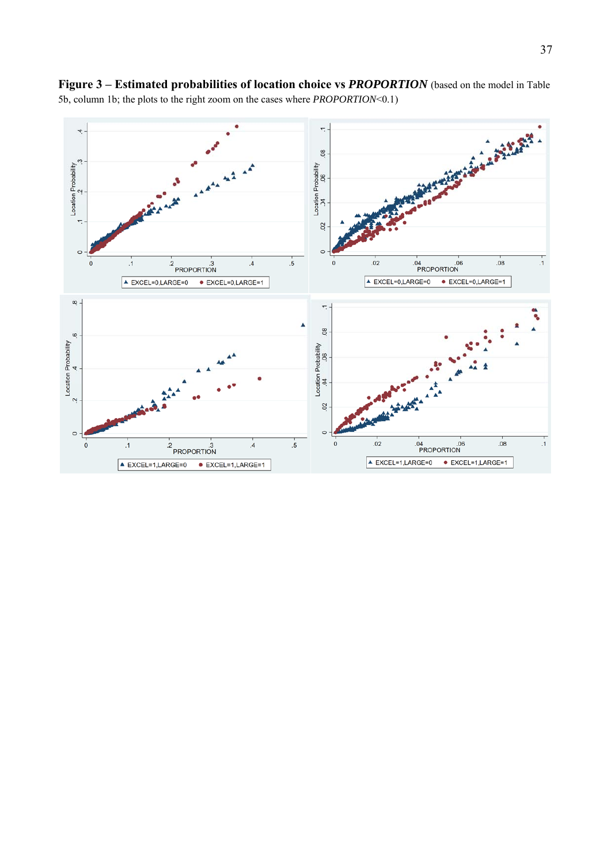